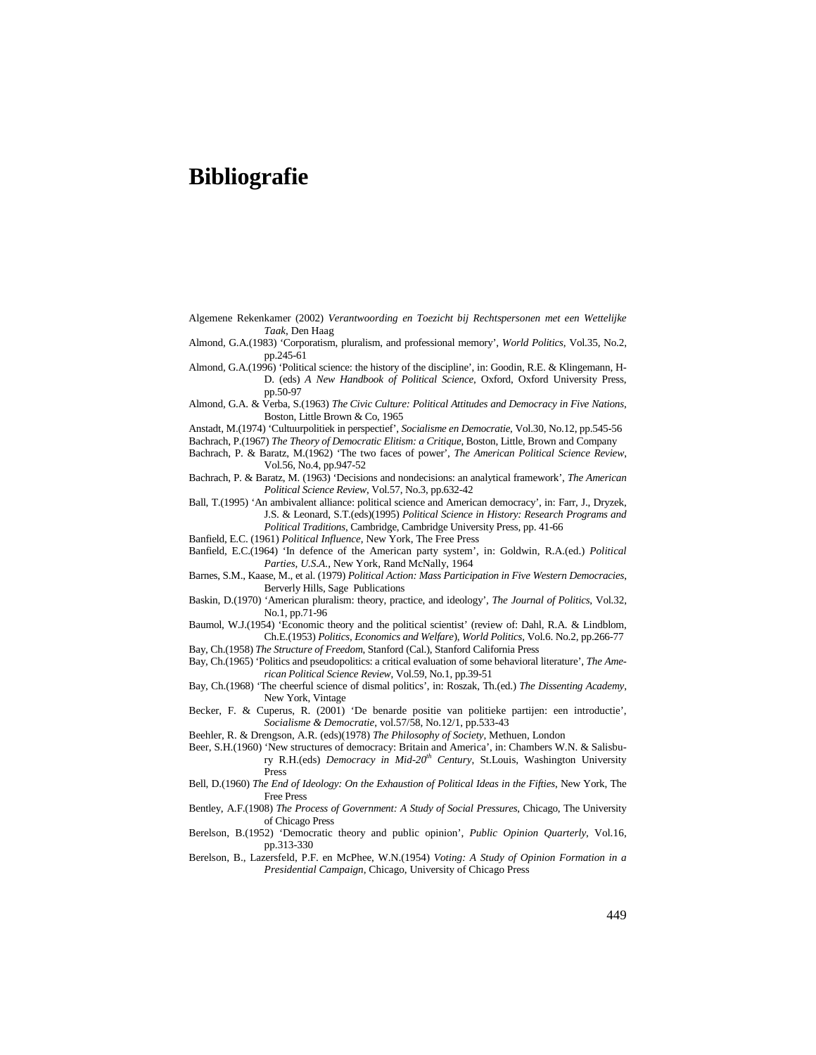## **Bibliografie**

- Algemene Rekenkamer (2002) *Verantwoording en Toezicht bij Rechtspersonen met een Wettelijke Taak*, Den Haag
- Almond, G.A.(1983) 'Corporatism, pluralism, and professional memory', *World Politics*, Vol.35, No.2, pp.245-61
- Almond, G.A.(1996) 'Political science: the history of the discipline', in: Goodin, R.E. & Klingemann, H-D. (eds) *A New Handbook of Political Science*, Oxford, Oxford University Press, pp.50-97
- Almond, G.A. & Verba, S.(1963) *The Civic Culture: Political Attitudes and Democracy in Five Nations*, Boston, Little Brown & Co, 1965

Anstadt, M.(1974) 'Cultuurpolitiek in perspectief', *Socialisme en Democratie*, Vol.30, No.12, pp.545-56

Bachrach, P.(1967) *The Theory of Democratic Elitism: a Critique*, Boston, Little, Brown and Company Bachrach, P. & Baratz, M.(1962) 'The two faces of power', *The American Political Science Review*,

Vol.56, No.4, pp.947-52 Bachrach, P. & Baratz, M. (1963) 'Decisions and nondecisions: an analytical framework', *The American* 

*Political Science Review*, Vol.57, No.3, pp.632-42

- Ball, T.(1995) 'An ambivalent alliance: political science and American democracy', in: Farr, J., Dryzek, J.S. & Leonard, S.T.(eds)(1995) *Political Science in History: Research Programs and*
	- *Political Traditions*, Cambridge, Cambridge University Press, pp. 41-66
- Banfield, E.C. (1961) *Political Influence*, New York, The Free Press

Banfield, E.C.(1964) 'In defence of the American party system', in: Goldwin, R.A.(ed.) *Political Parties, U.S.A.*, New York, Rand McNally, 1964

- Barnes, S.M., Kaase, M., et al. (1979) *Political Action: Mass Participation in Five Western Democracies*, Berverly Hills, Sage Publications
- Baskin, D.(1970) 'American pluralism: theory, practice, and ideology', *The Journal of Politics*, Vol.32, No.1, pp.71-96

Baumol, W.J.(1954) 'Economic theory and the political scientist' (review of: Dahl, R.A. & Lindblom, Ch.E.(1953) *Politics, Economics and Welfare*), *World Politics*, Vol.6. No.2, pp.266-77

- Bay, Ch.(1958) *The Structure of Freedom*, Stanford (Cal.), Stanford California Press
- Bay, Ch.(1965) 'Politics and pseudopolitics: a critical evaluation of some behavioral literature', *The American Political Science Review*, Vol.59, No.1, pp.39-51
- Bay, Ch.(1968) 'The cheerful science of dismal politics', in: Roszak, Th.(ed.) *The Dissenting Academy*, New York, Vintage
- Becker, F. & Cuperus, R. (2001) 'De benarde positie van politieke partijen: een introductie', *Socialisme & Democratie*, vol.57/58, No.12/1, pp.533-43
- Beehler, R. & Drengson, A.R. (eds)(1978) *The Philosophy of Society*, Methuen, London
- Beer, S.H.(1960) 'New structures of democracy: Britain and America', in: Chambers W.N. & Salisbury R.H.(eds) *Democracy in Mid-20th Century*, St.Louis, Washington University Press
- Bell, D.(1960) *The End of Ideology: On the Exhaustion of Political Ideas in the Fifties*, New York, The Free Press
- Bentley, A.F.(1908) *The Process of Government: A Study of Social Pressures*, Chicago, The University of Chicago Press
- Berelson, B.(1952) 'Democratic theory and public opinion', *Public Opinion Quarterly*, Vol.16, pp.313-330
- Berelson, B., Lazersfeld, P.F. en McPhee, W.N.(1954) *Voting: A Study of Opinion Formation in a Presidential Campaign*, Chicago, University of Chicago Press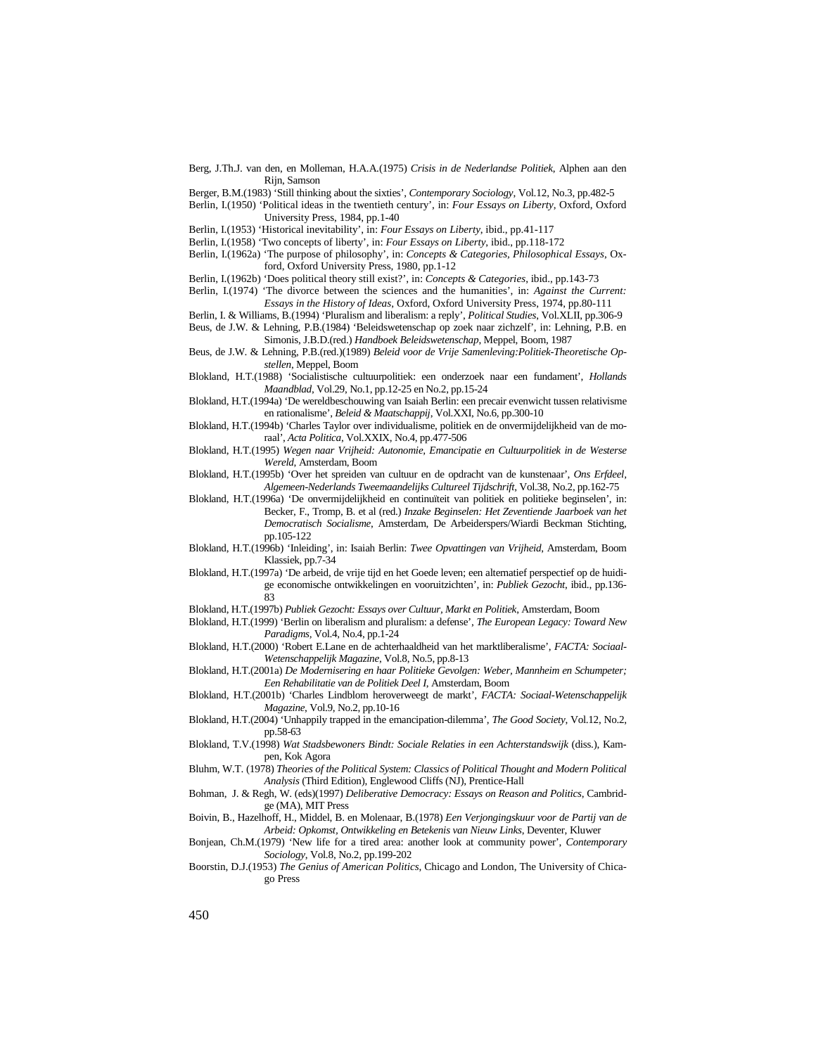Berg, J.Th.J. van den, en Molleman, H.A.A.(1975) *Crisis in de Nederlandse Politiek*, Alphen aan den Rijn, Samson

Berger, B.M.(1983) 'Still thinking about the sixties', *Contemporary Sociology*, Vol.12, No.3, pp.482-5

Berlin, I.(1950) 'Political ideas in the twentieth century', in: *Four Essays on Liberty*, Oxford, Oxford University Press, 1984, pp.1-40

Berlin, I.(1953) 'Historical inevitability', in: *Four Essays on Liberty*, ibid., pp.41-117

- Berlin, I.(1958) 'Two concepts of liberty', in: *Four Essays on Liberty*, ibid., pp.118-172
- Berlin, I.(1962a) 'The purpose of philosophy', in: *Concepts & Categories, Philosophical Essays*, Oxford, Oxford University Press, 1980, pp.1-12

Berlin, I.(1962b) 'Does political theory still exist?', in: *Concepts & Categories*, ibid., pp.143-73

- Berlin, I.(1974) 'The divorce between the sciences and the humanities', in: *Against the Current: Essays in the History of Ideas*, Oxford, Oxford University Press, 1974, pp.80-111
- Berlin, I. & Williams, B.(1994) 'Pluralism and liberalism: a reply', *Political Studies*, Vol.XLII, pp.306-9 Beus, de J.W. & Lehning, P.B.(1984) 'Beleidswetenschap op zoek naar zichzelf', in: Lehning, P.B. en Simonis, J.B.D.(red.) *Handboek Beleidswetenschap*, Meppel, Boom, 1987
- Beus, de J.W. & Lehning, P.B.(red.)(1989) *Beleid voor de Vrije Samenleving:Politiek-Theoretische Opstellen*, Meppel, Boom

Blokland, H.T.(1988) 'Socialistische cultuurpolitiek: een onderzoek naar een fundament', *Hollands Maandblad*, Vol.29, No.1, pp.12-25 en No.2, pp.15-24

- Blokland, H.T.(1994a) 'De wereldbeschouwing van Isaiah Berlin: een precair evenwicht tussen relativisme en rationalisme', *Beleid & Maatschappij*, Vol.XXI, No.6, pp.300-10
- Blokland, H.T.(1994b) 'Charles Taylor over individualisme, politiek en de onvermijdelijkheid van de moraal', *Acta Politica*, Vol.XXIX, No.4, pp.477-506

Blokland, H.T.(1995) *Wegen naar Vrijheid: Autonomie, Emancipatie en Cultuurpolitiek in de Westerse Wereld*, Amsterdam, Boom

- Blokland, H.T.(1995b) 'Over het spreiden van cultuur en de opdracht van de kunstenaar', *Ons Erfdeel, Algemeen-Nederlands Tweemaandelijks Cultureel Tijdschrift*, Vol.38, No.2, pp.162-75
- Blokland, H.T.(1996a) 'De onvermijdelijkheid en continuïteit van politiek en politieke beginselen', in: Becker, F., Tromp, B. et al (red.) *Inzake Beginselen: Het Zeventiende Jaarboek van het Democratisch Socialisme*, Amsterdam, De Arbeiderspers/Wiardi Beckman Stichting, pp.105-122
- Blokland, H.T.(1996b) 'Inleiding', in: Isaiah Berlin: *Twee Opvattingen van Vrijheid*, Amsterdam, Boom Klassiek, pp.7-34
- Blokland, H.T.(1997a) 'De arbeid, de vrije tijd en het Goede leven; een alternatief perspectief op de huidige economische ontwikkelingen en vooruitzichten', in: *Publiek Gezocht*, ibid., pp.136- 83

Blokland, H.T.(1997b) *Publiek Gezocht: Essays over Cultuur, Markt en Politiek*, Amsterdam, Boom

- Blokland, H.T.(1999) 'Berlin on liberalism and pluralism: a defense', *The European Legacy: Toward New Paradigms,* Vol.4, No.4, pp.1-24
- Blokland, H.T.(2000) 'Robert E.Lane en de achterhaaldheid van het marktliberalisme', *FACTA: Sociaal-Wetenschappelijk Magazine*, Vol.8, No.5, pp.8-13
- Blokland, H.T.(2001a) *De Modernisering en haar Politieke Gevolgen: Weber, Mannheim en Schumpeter; Een Rehabilitatie van de Politiek Deel I*, Amsterdam, Boom
- Blokland, H.T.(2001b) 'Charles Lindblom heroverweegt de markt', *FACTA: Sociaal-Wetenschappelijk Magazine*, Vol.9, No.2, pp.10-16
- Blokland, H.T.(2004) 'Unhappily trapped in the emancipation-dilemma', *The Good Society*, Vol.12, No.2, pp.58-63
- Blokland, T.V.(1998) *Wat Stadsbewoners Bindt: Sociale Relaties in een Achterstandswijk* (diss.), Kampen, Kok Agora
- Bluhm, W.T. (1978) *Theories of the Political System: Classics of Political Thought and Modern Political Analysis* (Third Edition), Englewood Cliffs (NJ), Prentice-Hall
- Bohman, J. & Regh, W. (eds)(1997) *Deliberative Democracy: Essays on Reason and Politics*, Cambridge (MA), MIT Press
- Boivin, B., Hazelhoff, H., Middel, B. en Molenaar, B.(1978) *Een Verjongingskuur voor de Partij van de Arbeid: Opkomst, Ontwikkeling en Betekenis van Nieuw Links*, Deventer, Kluwer
- Bonjean, Ch.M.(1979) 'New life for a tired area: another look at community power', *Contemporary Sociology*, Vol.8, No.2, pp.199-202
- Boorstin, D.J.(1953) *The Genius of American Politics*, Chicago and London, The University of Chicago Press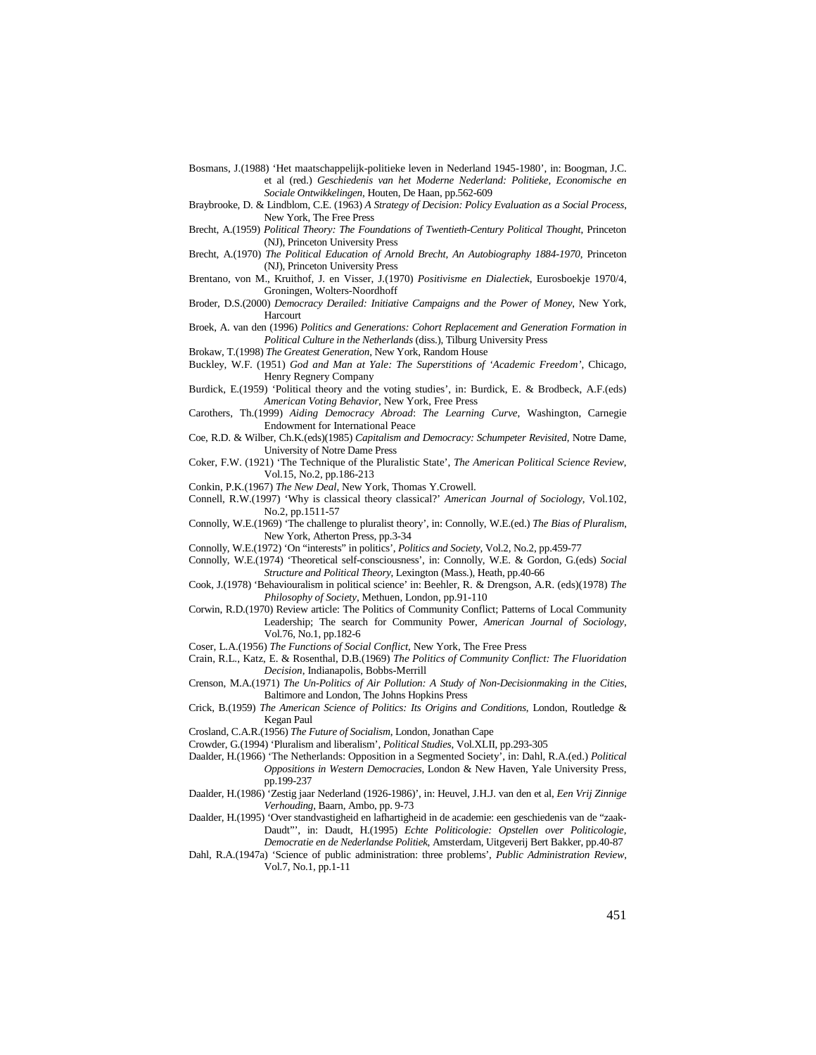- Bosmans, J.(1988) 'Het maatschappelijk-politieke leven in Nederland 1945-1980', in: Boogman, J.C. et al (red.) *Geschiedenis van het Moderne Nederland: Politieke, Economische en Sociale Ontwikkelingen*, Houten, De Haan, pp.562-609
- Braybrooke, D. & Lindblom, C.E. (1963) *A Strategy of Decision: Policy Evaluation as a Social Process*, New York, The Free Press
- Brecht, A.(1959) *Political Theory: The Foundations of Twentieth-Century Political Thought*, Princeton (NJ), Princeton University Press
- Brecht, A.(1970) *The Political Education of Arnold Brecht, An Autobiography 1884-1970*, Princeton (NJ), Princeton University Press
- Brentano, von M., Kruithof, J. en Visser, J.(1970) *Positivisme en Dialectiek*, Eurosboekje 1970/4, Groningen, Wolters-Noordhoff

Broder, D.S.(2000) *Democracy Derailed: Initiative Campaigns and the Power of Money*, New York, Harcourt

Broek, A. van den (1996) *Politics and Generations: Cohort Replacement and Generation Formation in Political Culture in the Netherlands* (diss.), Tilburg University Press

Brokaw, T.(1998) *The Greatest Generation*, New York, Random House

Buckley, W.F. (1951) *God and Man at Yale: The Superstitions of 'Academic Freedom'*, Chicago, Henry Regnery Company

Burdick, E.(1959) 'Political theory and the voting studies', in: Burdick, E. & Brodbeck, A.F.(eds) *American Voting Behavior*, New York, Free Press

- Carothers, Th.(1999) *Aiding Democracy Abroad*: *The Learning Curve*, Washington, Carnegie Endowment for International Peace
- Coe, R.D. & Wilber, Ch.K.(eds)(1985) *Capitalism and Democracy: Schumpeter Revisited*, Notre Dame, University of Notre Dame Press

Coker, F.W. (1921) 'The Technique of the Pluralistic State', *The American Political Science Review*, Vol.15, No.2, pp.186-213

Conkin, P.K.(1967) *The New Deal*, New York, Thomas Y.Crowell.

Connell, R.W.(1997) 'Why is classical theory classical?' *American Journal of Sociology*, Vol.102, No.2, pp.1511-57

Connolly, W.E.(1969) 'The challenge to pluralist theory', in: Connolly, W.E.(ed.) *The Bias of Pluralism*, New York, Atherton Press, pp.3-34

- Connolly, W.E.(1972) 'On "interests" in politics', *Politics and Society*, Vol.2, No.2, pp.459-77
- Connolly, W.E.(1974) 'Theoretical self-consciousness', in: Connolly, W.E. & Gordon, G.(eds) *Social Structure and Political Theory*, Lexington (Mass.), Heath, pp.40-66
- Cook, J.(1978) 'Behaviouralism in political science' in: Beehler, R. & Drengson, A.R. (eds)(1978) *The Philosophy of Society*, Methuen, London, pp.91-110
- Corwin, R.D.(1970) Review article: The Politics of Community Conflict; Patterns of Local Community Leadership; The search for Community Power, *American Journal of Sociology*, Vol.76, No.1, pp.182-6
- Coser, L.A.(1956) *The Functions of Social Conflict*, New York, The Free Press
- Crain, R.L., Katz, E. & Rosenthal, D.B.(1969) *The Politics of Community Conflict: The Fluoridation Decision*, Indianapolis, Bobbs-Merrill
- Crenson, M.A.(1971) *The Un-Politics of Air Pollution: A Study of Non-Decisionmaking in the Cities*, Baltimore and London, The Johns Hopkins Press
- Crick, B.(1959) *The American Science of Politics: Its Origins and Conditions*, London, Routledge & Kegan Paul

Crosland, C.A.R.(1956) *The Future of Socialism*, London, Jonathan Cape

Crowder, G.(1994) 'Pluralism and liberalism', *Political Studies*, Vol.XLII, pp.293-305

Daalder, H.(1966) 'The Netherlands: Opposition in a Segmented Society', in: Dahl, R.A.(ed.) *Political Oppositions in Western Democracies*, London & New Haven, Yale University Press, pp.199-237

- Daalder, H.(1986) 'Zestig jaar Nederland (1926-1986)', in: Heuvel, J.H.J. van den et al, *Een Vrij Zinnige Verhouding*, Baarn, Ambo, pp. 9-73
- Daalder, H.(1995) 'Over standvastigheid en lafhartigheid in de academie: een geschiedenis van de "zaak-Daudt"', in: Daudt, H.(1995) *Echte Politicologie: Opstellen over Politicologie, Democratie en de Nederlandse Politiek*, Amsterdam, Uitgeverij Bert Bakker, pp.40-87
- Dahl, R.A.(1947a) 'Science of public administration: three problems', *Public Administration Review*, Vol.7, No.1, pp.1-11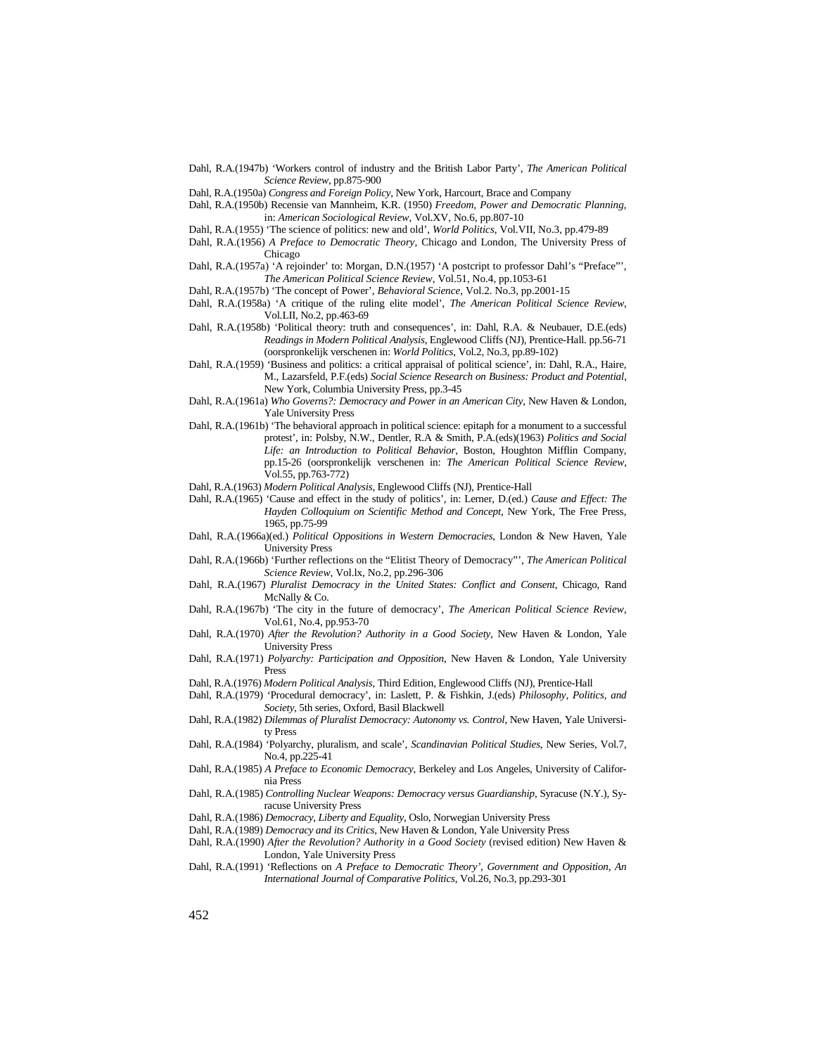Dahl, R.A.(1947b) 'Workers control of industry and the British Labor Party', *The American Political Science Review*, pp.875-900

Dahl, R.A.(1950a) *Congress and Foreign Policy*, New York, Harcourt, Brace and Company

- Dahl, R.A.(1950b) Recensie van Mannheim, K.R. (1950) *Freedom, Power and Democratic Planning*, in: *American Sociological Review*, Vol.XV, No.6, pp.807-10
- Dahl, R.A.(1955) 'The science of politics: new and old', *World Politics*, Vol.VII, No.3, pp.479-89
- Dahl, R.A.(1956) *A Preface to Democratic Theory*, Chicago and London, The University Press of Chicago
- Dahl, R.A.(1957a) 'A rejoinder' to: Morgan, D.N.(1957) 'A postcript to professor Dahl's "Preface"', *The American Political Science Review*, Vol.51, No.4, pp.1053-61
- Dahl, R.A.(1957b) 'The concept of Power', *Behavioral Science*, Vol.2. No.3, pp.2001-15
- Dahl, R.A.(1958a) 'A critique of the ruling elite model', *The American Political Science Review*, Vol.LII, No.2, pp.463-69
- Dahl, R.A.(1958b) 'Political theory: truth and consequences', in: Dahl, R.A. & Neubauer, D.E.(eds) *Readings in Modern Political Analysis*, Englewood Cliffs (NJ), Prentice-Hall. pp.56-71 (oorspronkelijk verschenen in: *World Politics*, Vol.2, No.3, pp.89-102)
- Dahl, R.A.(1959) 'Business and politics: a critical appraisal of political science', in: Dahl, R.A., Haire, M., Lazarsfeld, P.F.(eds) *Social Science Research on Business: Product and Potential*, New York, Columbia University Press, pp.3-45
- Dahl, R.A.(1961a) *Who Governs?: Democracy and Power in an American City*, New Haven & London, Yale University Press
- Dahl, R.A.(1961b) 'The behavioral approach in political science: epitaph for a monument to a successful protest', in: Polsby, N.W., Dentler, R.A & Smith, P.A.(eds)(1963) *Politics and Social Life: an Introduction to Political Behavior*, Boston, Houghton Mifflin Company, pp.15-26 (oorspronkelijk verschenen in: *The American Political Science Review*, Vol.55, pp.763-772)
- Dahl, R.A.(1963) *Modern Political Analysis*, Englewood Cliffs (NJ), Prentice-Hall
- Dahl, R.A.(1965) 'Cause and effect in the study of politics', in: Lerner, D.(ed.) *Cause and Effect: The Hayden Colloquium on Scientific Method and Concept*, New York, The Free Press, 1965, pp.75-99
- Dahl, R.A.(1966a)(ed.) *Political Oppositions in Western Democracies*, London & New Haven, Yale University Press
- Dahl, R.A.(1966b) 'Further reflections on the "Elitist Theory of Democracy"', *The American Political Science Review*, Vol.lx, No.2, pp.296-306
- Dahl, R.A.(1967) *Pluralist Democracy in the United States: Conflict and Consent*, Chicago, Rand McNally & Co.
- Dahl, R.A.(1967b) 'The city in the future of democracy', *The American Political Science Review*, Vol.61, No.4, pp.953-70
- Dahl, R.A.(1970) *After the Revolution? Authority in a Good Society*, New Haven & London, Yale University Press
- Dahl, R.A.(1971) *Polyarchy: Participation and Opposition*, New Haven & London, Yale University Press
- Dahl, R.A.(1976) *Modern Political Analysis*, Third Edition, Englewood Cliffs (NJ), Prentice-Hall
- Dahl, R.A.(1979) 'Procedural democracy', in: Laslett, P. & Fishkin, J.(eds) *Philosophy, Politics, and Society*, 5th series, Oxford, Basil Blackwell
- Dahl, R.A.(1982) *Dilemmas of Pluralist Democracy: Autonomy vs. Control*, New Haven, Yale University Press
- Dahl, R.A.(1984) 'Polyarchy, pluralism, and scale', *Scandinavian Political Studies*, New Series, Vol.7, No.4, pp.225-41
- Dahl, R.A.(1985) *A Preface to Economic Democracy*, Berkeley and Los Angeles, University of California Press
- Dahl, R.A.(1985) *Controlling Nuclear Weapons: Democracy versus Guardianship*, Syracuse (N.Y.), Syracuse University Press
- Dahl, R.A.(1986) *Democracy, Liberty and Equality*, Oslo, Norwegian University Press
- Dahl, R.A.(1989) *Democracy and its Critics*, New Haven & London, Yale University Press
- Dahl, R.A.(1990) *After the Revolution? Authority in a Good Society* (revised edition) New Haven & London, Yale University Press
- Dahl, R.A.(1991) 'Reflections on *A Preface to Democratic Theory'*, *Government and Opposition, An International Journal of Comparative Politics*, Vol.26, No.3, pp.293-301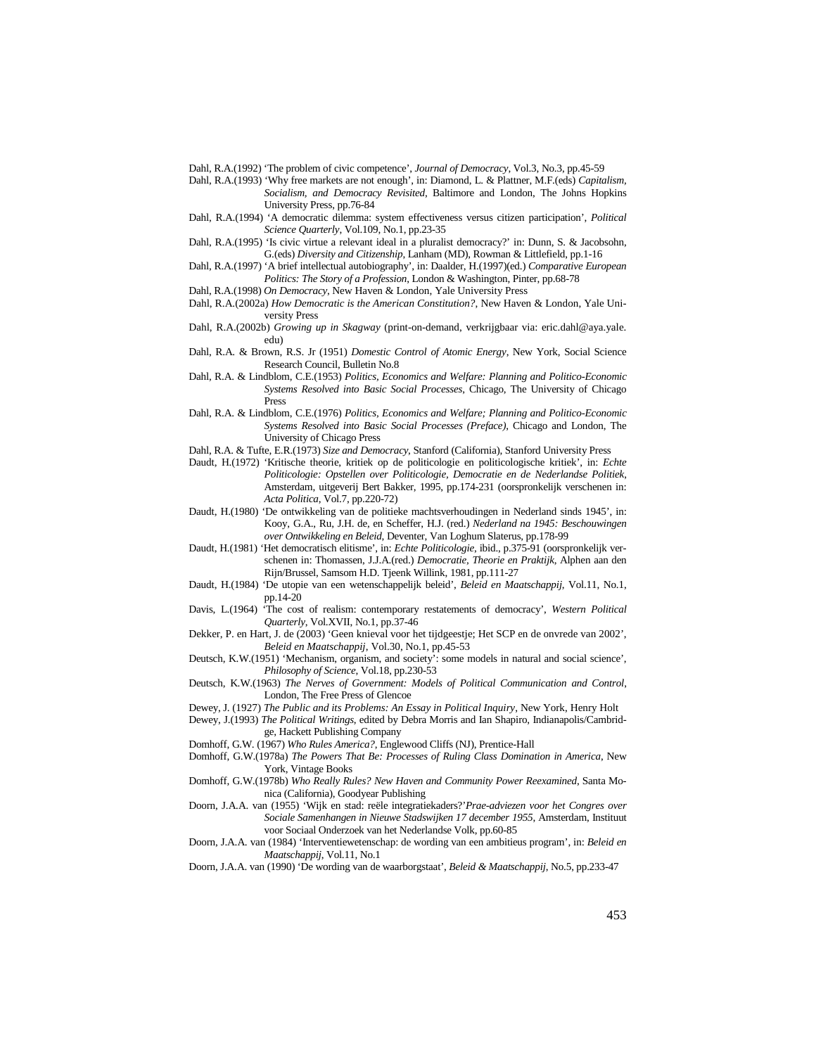Dahl, R.A.(1992) 'The problem of civic competence', *Journal of Democracy*, Vol.3, No.3, pp.45-59

Dahl, R.A.(1993) 'Why free markets are not enough', in: Diamond, L. & Plattner, M.F.(eds) *Capitalism,* 

*Socialism, and Democracy Revisited*, Baltimore and London, The Johns Hopkins University Press, pp.76-84

- Dahl, R.A.(1994) 'A democratic dilemma: system effectiveness versus citizen participation', *Political Science Quarterly*, Vol.109, No.1, pp.23-35
- Dahl, R.A.(1995) 'Is civic virtue a relevant ideal in a pluralist democracy?' in: Dunn, S. & Jacobsohn, G.(eds) *Diversity and Citizenship*, Lanham (MD), Rowman & Littlefield, pp.1-16
- Dahl, R.A.(1997) 'A brief intellectual autobiography', in: Daalder, H.(1997)(ed.) *Comparative European Politics: The Story of a Profession*, London & Washington, Pinter, pp.68-78
- Dahl, R.A.(1998) *On Democracy*, New Haven & London, Yale University Press
- Dahl, R.A.(2002a) *How Democratic is the American Constitution?*, New Haven & London, Yale University Press
- Dahl, R.A.(2002b) *Growing up in Skagway* (print-on-demand, verkrijgbaar via: eric.dahl@aya.yale. edu)
- Dahl, R.A. & Brown, R.S. Jr (1951) *Domestic Control of Atomic Energy*, New York, Social Science Research Council, Bulletin No.8
- Dahl, R.A. & Lindblom, C.E.(1953) *Politics, Economics and Welfare: Planning and Politico-Economic Systems Resolved into Basic Social Processes*, Chicago, The University of Chicago Press
- Dahl, R.A. & Lindblom, C.E.(1976) *Politics, Economics and Welfare; Planning and Politico-Economic Systems Resolved into Basic Social Processes (Preface)*, Chicago and London, The University of Chicago Press
- Dahl, R.A. & Tufte, E.R.(1973) *Size and Democracy*, Stanford (California), Stanford University Press
- Daudt, H.(1972) 'Kritische theorie, kritiek op de politicologie en politicologische kritiek', in: *Echte Politicologie: Opstellen over Politicologie, Democratie en de Nederlandse Politiek*, Amsterdam, uitgeverij Bert Bakker, 1995, pp.174-231 (oorspronkelijk verschenen in: *Acta Politica*, Vol.7, pp.220-72)
- Daudt, H.(1980) 'De ontwikkeling van de politieke machtsverhoudingen in Nederland sinds 1945', in: Kooy, G.A., Ru, J.H. de, en Scheffer, H.J. (red.) *Nederland na 1945: Beschouwingen over Ontwikkeling en Beleid*, Deventer, Van Loghum Slaterus, pp.178-99
- Daudt, H.(1981) 'Het democratisch elitisme', in: *Echte Politicologie*, ibid., p.375-91 (oorspronkelijk verschenen in: Thomassen, J.J.A.(red.) *Democratie, Theorie en Praktijk*, Alphen aan den Rijn/Brussel, Samsom H.D. Tjeenk Willink, 1981, pp.111-27
- Daudt, H.(1984) 'De utopie van een wetenschappelijk beleid', *Beleid en Maatschappij*, Vol.11, No.1, pp.14-20
- Davis, L.(1964) 'The cost of realism: contemporary restatements of democracy', *Western Political Quarterly*, Vol.XVII, No.1, pp.37-46
- Dekker, P. en Hart, J. de (2003) 'Geen knieval voor het tijdgeestje; Het SCP en de onvrede van 2002', *Beleid en Maatschappij*, Vol.30, No.1, pp.45-53
- Deutsch, K.W.(1951) 'Mechanism, organism, and society': some models in natural and social science', *Philosophy of Science*, Vol.18, pp.230-53
- Deutsch, K.W.(1963) *The Nerves of Government: Models of Political Communication and Control*, London, The Free Press of Glencoe
- Dewey, J. (1927) *The Public and its Problems: An Essay in Political Inquiry*, New York, Henry Holt
- Dewey, J.(1993) *The Political Writings*, edited by Debra Morris and Ian Shapiro, Indianapolis/Cambridge, Hackett Publishing Company
- Domhoff, G.W. (1967) *Who Rules America?*, Englewood Cliffs (NJ), Prentice-Hall
- Domhoff, G.W.(1978a) *The Powers That Be: Processes of Ruling Class Domination in America*, New York, Vintage Books
- Domhoff, G.W.(1978b) *Who Really Rules? New Haven and Community Power Reexamined*, Santa Monica (California), Goodyear Publishing
- Doorn, J.A.A. van (1955) 'Wijk en stad: reële integratiekaders?'*Prae-adviezen voor het Congres over Sociale Samenhangen in Nieuwe Stadswijken 17 december 1955*, Amsterdam, Instituut voor Sociaal Onderzoek van het Nederlandse Volk, pp.60-85
- Doorn, J.A.A. van (1984) 'Interventiewetenschap: de wording van een ambitieus program', in: *Beleid en Maatschappij*, Vol.11, No.1
- Doorn, J.A.A. van (1990) 'De wording van de waarborgstaat', *Beleid & Maatschappij*, No.5, pp.233-47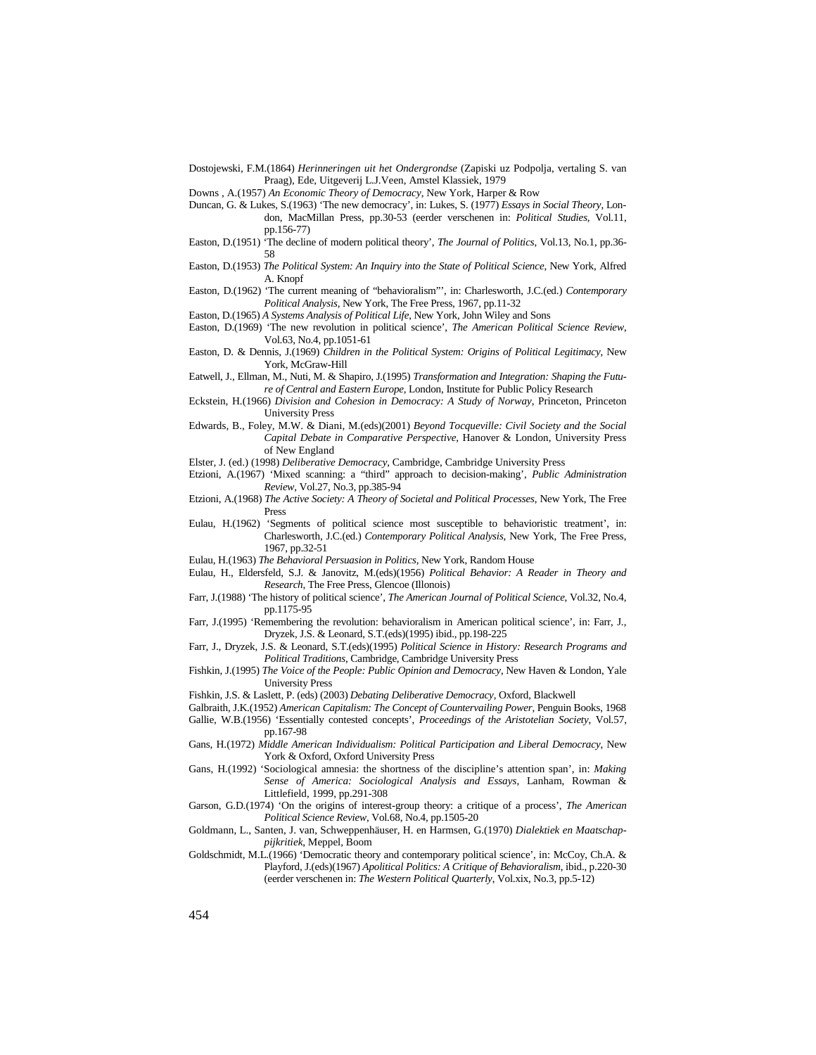Dostojewski, F.M.(1864) *Herinneringen uit het Ondergrondse* (Zapiski uz Podpolja, vertaling S. van Praag), Ede, Uitgeverij L.J.Veen, Amstel Klassiek, 1979

Downs , A.(1957) *An Economic Theory of Democracy*, New York, Harper & Row

- Duncan, G. & Lukes, S.(1963) 'The new democracy', in: Lukes, S. (1977) *Essays in Social Theory*, London, MacMillan Press, pp.30-53 (eerder verschenen in: *Political Studies*, Vol.11, pp.156-77)
- Easton, D.(1951) 'The decline of modern political theory', *The Journal of Politics*, Vol.13, No.1, pp.36- 58
- Easton, D.(1953) *The Political System: An Inquiry into the State of Political Science*, New York, Alfred A. Knopf
- Easton, D.(1962) 'The current meaning of "behavioralism"', in: Charlesworth, J.C.(ed.) *Contemporary Political Analysis*, New York, The Free Press, 1967, pp.11-32
- Easton, D.(1965) *A Systems Analysis of Political Life*, New York, John Wiley and Sons
- Easton, D.(1969) 'The new revolution in political science', *The American Political Science Review*, Vol.63, No.4, pp.1051-61
- Easton, D. & Dennis, J.(1969) *Children in the Political System: Origins of Political Legitimacy*, New York, McGraw-Hill
- Eatwell, J., Ellman, M., Nuti, M. & Shapiro, J.(1995) *Transformation and Integration: Shaping the Future of Central and Eastern Europe*, London, Institute for Public Policy Research
- Eckstein, H.(1966) *Division and Cohesion in Democracy: A Study of Norway*, Princeton, Princeton University Press
- Edwards, B., Foley, M.W. & Diani, M.(eds)(2001) *Beyond Tocqueville: Civil Society and the Social Capital Debate in Comparative Perspective*, Hanover & London, University Press of New England
- Elster, J. (ed.) (1998) *Deliberative Democracy*, Cambridge, Cambridge University Press
- Etzioni, A.(1967) 'Mixed scanning: a "third" approach to decision-making', *Public Administration Review*, Vol.27, No.3, pp.385-94
- Etzioni, A.(1968) *The Active Society: A Theory of Societal and Political Processes*, New York, The Free Press
- Eulau, H.(1962) 'Segments of political science most susceptible to behavioristic treatment', in: Charlesworth, J.C.(ed.) *Contemporary Political Analysis*, New York, The Free Press, 1967, pp.32-51
- Eulau, H.(1963) *The Behavioral Persuasion in Politics*, New York, Random House
- Eulau, H., Eldersfeld, S.J. & Janovitz, M.(eds)(1956) *Political Behavior: A Reader in Theory and Research*, The Free Press, Glencoe (Illonois)
- Farr, J.(1988) 'The history of political science', *The American Journal of Political Science*, Vol.32, No.4, pp.1175-95
- Farr, J.(1995) 'Remembering the revolution: behavioralism in American political science', in: Farr, J., Dryzek, J.S. & Leonard, S.T.(eds)(1995) ibid., pp.198-225
- Farr, J., Dryzek, J.S. & Leonard, S.T.(eds)(1995) *Political Science in History: Research Programs and Political Traditions*, Cambridge, Cambridge University Press
- Fishkin, J.(1995) *The Voice of the People: Public Opinion and Democracy*, New Haven & London, Yale University Press
- Fishkin, J.S. & Laslett, P. (eds) (2003) *Debating Deliberative Democracy*, Oxford, Blackwell
- Galbraith, J.K.(1952) *American Capitalism: The Concept of Countervailing Power*, Penguin Books, 1968
- Gallie, W.B.(1956) 'Essentially contested concepts', *Proceedings of the Aristotelian Society*, Vol.57, pp.167-98
- Gans, H.(1972) *Middle American Individualism: Political Participation and Liberal Democracy*, New York & Oxford, Oxford University Press
- Gans, H.(1992) 'Sociological amnesia: the shortness of the discipline's attention span', in: *Making Sense of America: Sociological Analysis and Essays*, Lanham, Rowman & Littlefield, 1999, pp.291-308
- Garson, G.D.(1974) 'On the origins of interest-group theory: a critique of a process', *The American Political Science Review*, Vol.68, No.4, pp.1505-20
- Goldmann, L., Santen, J. van, Schweppenhäuser, H. en Harmsen, G.(1970) *Dialektiek en Maatschappijkritiek*, Meppel, Boom
- Goldschmidt, M.L.(1966) 'Democratic theory and contemporary political science', in: McCoy, Ch.A. & Playford, J.(eds)(1967) *Apolitical Politics: A Critique of Behavioralism*, ibid., p.220-30 (eerder verschenen in: *The Western Political Quarterly*, Vol.xix, No.3, pp.5-12)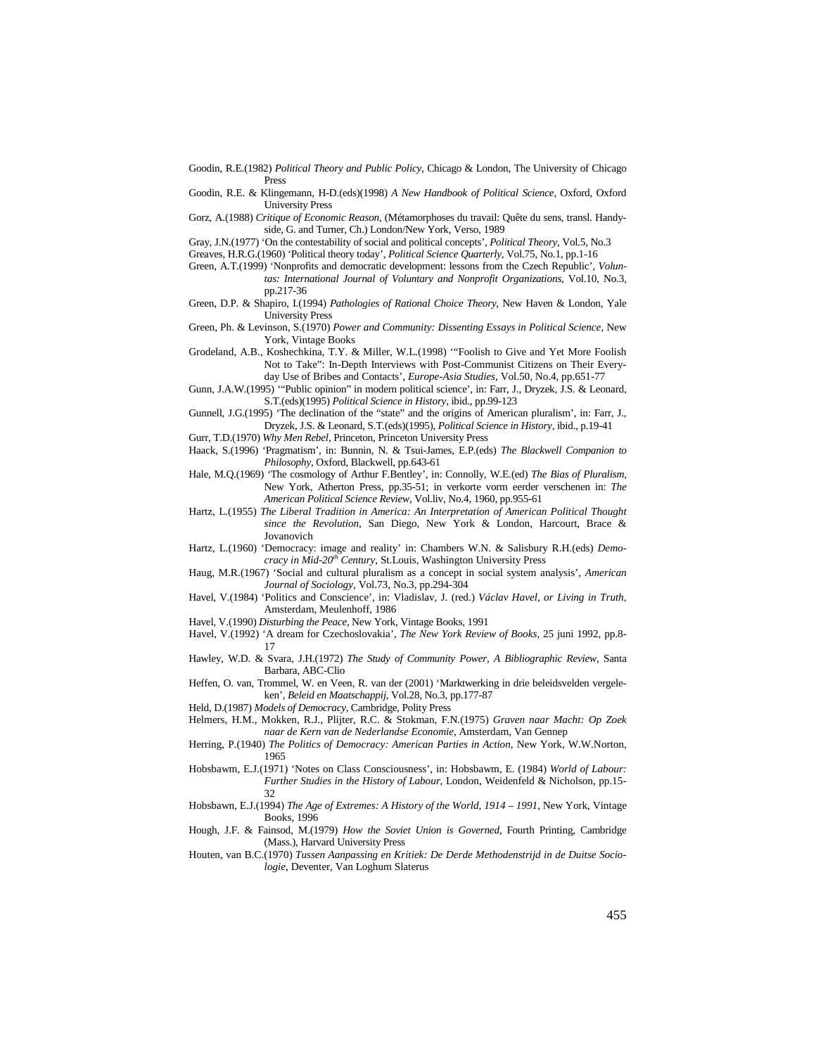Goodin, R.E.(1982) *Political Theory and Public Policy*, Chicago & London, The University of Chicago Press

Goodin, R.E. & Klingemann, H-D.(eds)(1998) *A New Handbook of Political Science*, Oxford, Oxford University Press

Gorz, A.(1988) *Critique of Economic Reason*, (Métamorphoses du travail: Quête du sens, transl. Handyside, G. and Turner, Ch.) London/New York, Verso, 1989

Gray, J.N.(1977) 'On the contestability of social and political concepts', *Political Theory*, Vol.5, No.3

Greaves, H.R.G.(1960) 'Political theory today', *Political Science Quarterly*, Vol.75, No.1, pp.1-16

Green, A.T.(1999) 'Nonprofits and democratic development: lessons from the Czech Republic', *Volun-*

*tas: International Journal of Voluntary and Nonprofit Organizations*, Vol.10, No.3,

pp.217-36

Green, D.P. & Shapiro, I.(1994) *Pathologies of Rational Choice Theory*, New Haven & London, Yale University Press

Green, Ph. & Levinson, S.(1970) *Power and Community: Dissenting Essays in Political Science*, New York, Vintage Books

Grodeland, A.B., Koshechkina, T.Y. & Miller, W.L.(1998) '"Foolish to Give and Yet More Foolish Not to Take": In-Depth Interviews with Post-Communist Citizens on Their Everyday Use of Bribes and Contacts', *Europe-Asia Studies*, Vol.50, No.4, pp.651-77

Gunn, J.A.W.(1995) '"Public opinion" in modern political science', in: Farr, J., Dryzek, J.S. & Leonard, S.T.(eds)(1995) *Political Science in History*, ibid., pp.99-123

Gunnell, J.G.(1995) 'The declination of the "state" and the origins of American pluralism', in: Farr, J., Dryzek, J.S. & Leonard, S.T.(eds)(1995), *Political Science in History*, ibid., p.19-41

Gurr, T.D.(1970) *Why Men Rebel*, Princeton, Princeton University Press

Haack, S.(1996) 'Pragmatism', in: Bunnin, N. & Tsui-James, E.P.(eds) *The Blackwell Companion to Philosophy*, Oxford, Blackwell, pp.643-61

Hale, M.Q.(1969) 'The cosmology of Arthur F.Bentley', in: Connolly, W.E.(ed) *The Bias of Pluralism*, New York, Atherton Press, pp.35-51; in verkorte vorm eerder verschenen in: *The American Political Science Review*, Vol.liv, No.4, 1960, pp.955-61

Hartz, L.(1955) *The Liberal Tradition in America: An Interpretation of American Political Thought since the Revolution,* San Diego, New York & London, Harcourt, Brace & Jovanovich

Hartz, L.(1960) 'Democracy: image and reality' in: Chambers W.N. & Salisbury R.H.(eds) *Democracy in Mid-20th Century*, St.Louis, Washington University Press

Haug, M.R.(1967) 'Social and cultural pluralism as a concept in social system analysis', *American Journal of Sociology*, Vol.73, No.3, pp.294-304

Havel, V.(1984) 'Politics and Conscience', in: Vladislav, J. (red.) *Václav Havel, or Living in Truth*, Amsterdam, Meulenhoff, 1986

Havel, V.(1990) *Disturbing the Peace*, New York, Vintage Books, 1991

Havel, V.(1992) 'A dream for Czechoslovakia', *The New York Review of Books*, 25 juni 1992, pp.8- 17

Hawley, W.D. & Svara, J.H.(1972) *The Study of Community Power, A Bibliographic Review*, Santa Barbara, ABC-Clio

Heffen, O. van, Trommel, W. en Veen, R. van der (2001) 'Marktwerking in drie beleidsvelden vergeleken', *Beleid en Maatschappij*, Vol.28, No.3, pp.177-87

Held, D.(1987) *Models of Democracy*, Cambridge, Polity Press

Helmers, H.M., Mokken, R.J., Plijter, R.C. & Stokman, F.N.(1975) *Graven naar Macht: Op Zoek naar de Kern van de Nederlandse Economie*, Amsterdam, Van Gennep

Herring, P.(1940) *The Politics of Democracy: American Parties in Action*, New York, W.W.Norton, 1965

Hobsbawm, E.J.(1971) 'Notes on Class Consciousness', in: Hobsbawm, E. (1984) *World of Labour: Further Studies in the History of Labour*, London, Weidenfeld & Nicholson, pp.15- 32

Hobsbawn, E.J.(1994) *The Age of Extremes: A History of the World, 1914 – 1991*, New York, Vintage Books, 1996

Hough, J.F. & Fainsod, M.(1979) *How the Soviet Union is Governed*, Fourth Printing, Cambridge (Mass.), Harvard University Press

Houten, van B.C.(1970) *Tussen Aanpassing en Kritiek: De Derde Methodenstrijd in de Duitse Sociologie*, Deventer, Van Loghum Slaterus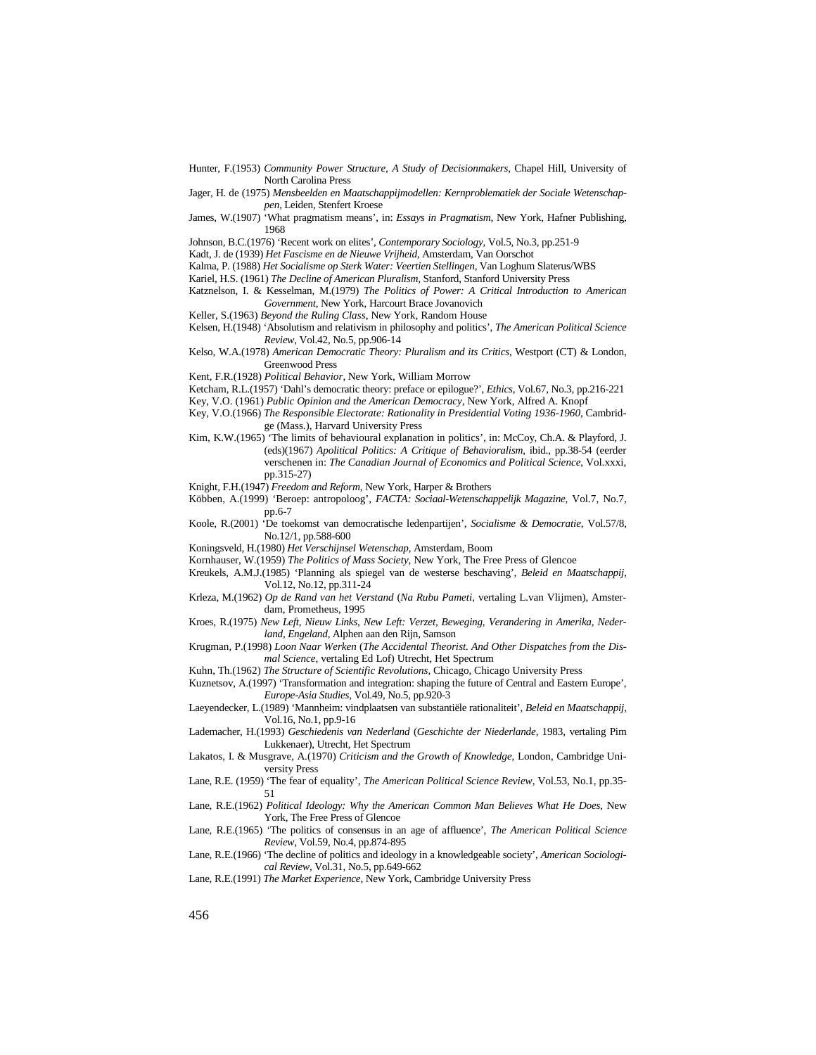- Hunter, F.(1953) *Community Power Structure, A Study of Decisionmakers*, Chapel Hill, University of North Carolina Press
- Jager, H. de (1975) *Mensbeelden en Maatschappijmodellen: Kernproblematiek der Sociale Wetenschappen*, Leiden, Stenfert Kroese
- James, W.(1907) 'What pragmatism means', in: *Essays in Pragmatism*, New York, Hafner Publishing, 1968
- Johnson, B.C.(1976) 'Recent work on elites', *Contemporary Sociology*, Vol.5, No.3, pp.251-9
- Kadt, J. de (1939) *Het Fascisme en de Nieuwe Vrijheid*, Amsterdam, Van Oorschot
- Kalma, P. (1988) *Het Socialisme op Sterk Water: Veertien Stellingen*, Van Loghum Slaterus/WBS
- Kariel, H.S. (1961) *The Decline of American Pluralism*, Stanford, Stanford University Press
- Katznelson, I. & Kesselman, M.(1979) *The Politics of Power: A Critical Introduction to American Government*, New York, Harcourt Brace Jovanovich
- Keller, S.(1963) *Beyond the Ruling Class*, New York, Random House
- Kelsen, H.(1948) 'Absolutism and relativism in philosophy and politics', *The American Political Science Review*, Vol.42, No.5, pp.906-14
- Kelso, W.A.(1978) *American Democratic Theory: Pluralism and its Critics*, Westport (CT) & London, Greenwood Press
- Kent, F.R.(1928) *Political Behavior*, New York, William Morrow
- Ketcham, R.L.(1957) 'Dahl's democratic theory: preface or epilogue?', *Ethics*, Vol.67, No.3, pp.216-221 Key, V.O. (1961) *Public Opinion and the American Democracy*, New York, Alfred A. Knopf
- Key, V.O.(1966) *The Responsible Electorate: Rationality in Presidential Voting 1936-1960*, Cambrid-
- ge (Mass.), Harvard University Press
- Kim, K.W.(1965) 'The limits of behavioural explanation in politics', in: McCoy, Ch.A. & Playford, J. (eds)(1967) *Apolitical Politics: A Critique of Behavioralism*, ibid., pp.38-54 (eerder verschenen in: *The Canadian Journal of Economics and Political Science*, Vol.xxxi, pp.315-27)
- Knight, F.H.(1947) *Freedom and Reform*, New York, Harper & Brothers
- Köbben, A.(1999) 'Beroep: antropoloog', *FACTA: Sociaal-Wetenschappelijk Magazine*, Vol.7, No.7, pp.6-7
- Koole, R.(2001) 'De toekomst van democratische ledenpartijen', *Socialisme & Democratie*, Vol.57/8, No.12/1, pp.588-600
- Koningsveld, H.(1980) *Het Verschijnsel Wetenschap*, Amsterdam, Boom
- Kornhauser, W.(1959) *The Politics of Mass Society*, New York, The Free Press of Glencoe
- Kreukels, A.M.J.(1985) 'Planning als spiegel van de westerse beschaving', *Beleid en Maatschappij*, Vol.12, No.12, pp.311-24
- Krleza, M.(1962) *Op de Rand van het Verstand* (*Na Rubu Pameti*, vertaling L.van Vlijmen), Amsterdam, Prometheus, 1995
- Kroes, R.(1975) *New Left, Nieuw Links, New Left: Verzet, Beweging, Verandering in Amerika, Nederland, Engeland*, Alphen aan den Rijn, Samson
- Krugman, P.(1998) *Loon Naar Werken* (*The Accidental Theorist. And Other Dispatches from the Dismal Science*, vertaling Ed Lof) Utrecht, Het Spectrum
- Kuhn, Th.(1962) *The Structure of Scientific Revolutions*, Chicago, Chicago University Press
- Kuznetsov, A.(1997) 'Transformation and integration: shaping the future of Central and Eastern Europe', *Europe-Asia Studies*, Vol.49, No.5, pp.920-3
- Laeyendecker, L.(1989) 'Mannheim: vindplaatsen van substantiële rationaliteit', *Beleid en Maatschappij*, Vol.16, No.1, pp.9-16
- Lademacher, H.(1993) *Geschiedenis van Nederland* (*Geschichte der Niederlande*, 1983, vertaling Pim Lukkenaer), Utrecht, Het Spectrum
- Lakatos, I. & Musgrave, A.(1970) *Criticism and the Growth of Knowledge*, London, Cambridge University Press
- Lane, R.E. (1959) 'The fear of equality', *The American Political Science Review*, Vol.53, No.1, pp.35- 51
- Lane, R.E.(1962) *Political Ideology: Why the American Common Man Believes What He Does*, New York, The Free Press of Glencoe
- Lane, R.E.(1965) 'The politics of consensus in an age of affluence', *The American Political Science Review*, Vol.59, No.4, pp.874-895
- Lane, R.E.(1966) 'The decline of politics and ideology in a knowledgeable society', *American Sociological Review*, Vol.31, No.5, pp.649-662
- Lane, R.E.(1991) *The Market Experience*, New York, Cambridge University Press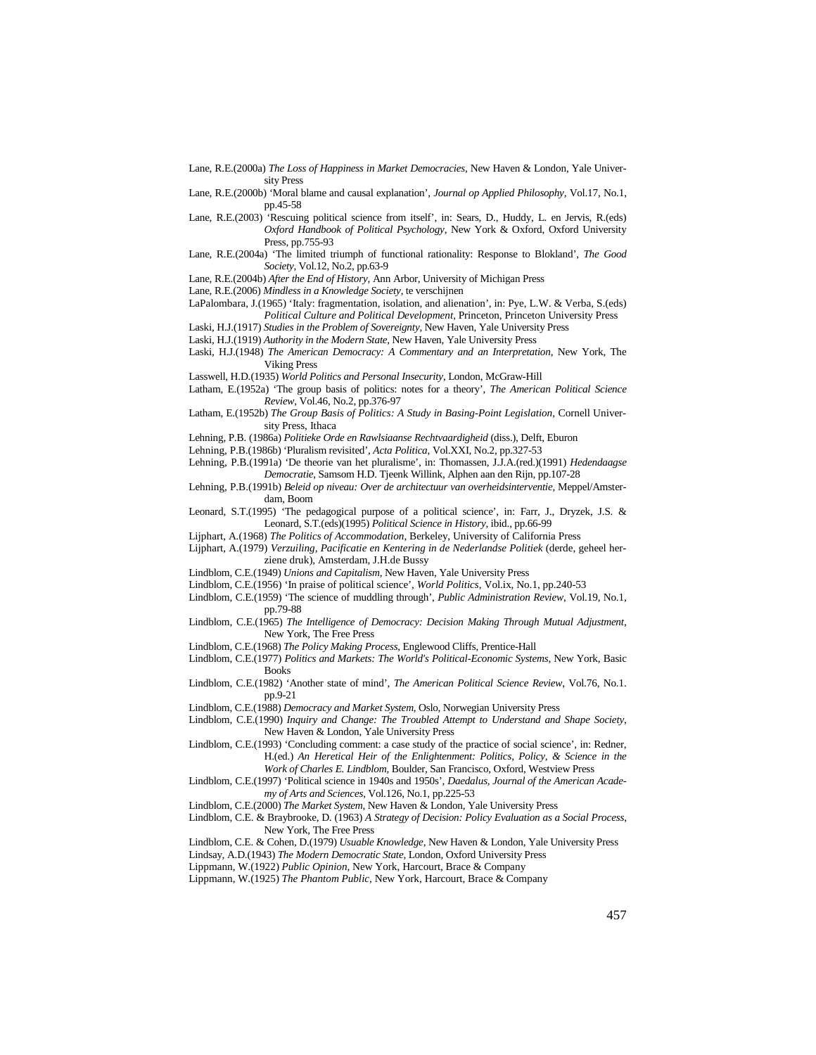- Lane, R.E.(2000a) *The Loss of Happiness in Market Democracies*, New Haven & London, Yale University Press
- Lane, R.E.(2000b) 'Moral blame and causal explanation', *Journal op Applied Philosophy*, Vol.17, No.1, pp.45-58
- Lane, R.E.(2003) 'Rescuing political science from itself', in: Sears, D., Huddy, L. en Jervis, R.(eds) *Oxford Handbook of Political Psychology*, New York & Oxford, Oxford University Press, pp.755-93
- Lane, R.E.(2004a) 'The limited triumph of functional rationality: Response to Blokland', *The Good Society*, Vol.12, No.2, pp.63-9

Lane, R.E.(2004b) *After the End of History*, Ann Arbor, University of Michigan Press

Lane, R.E.(2006) *Mindless in a Knowledge Society*, te verschijnen

LaPalombara, J.(1965) 'Italy: fragmentation, isolation, and alienation', in: Pye, L.W. & Verba, S.(eds) *Political Culture and Political Development*, Princeton, Princeton University Press

- Laski, H.J.(1917) *Studies in the Problem of Sovereignty*, New Haven, Yale University Press
- Laski, H.J.(1919) *Authority in the Modern State*, New Haven, Yale University Press
- Laski, H.J.(1948) *The American Democracy: A Commentary and an Interpretation*, New York, The Viking Press
- Lasswell, H.D.(1935) *World Politics and Personal Insecurity*, London, McGraw-Hill
- Latham, E.(1952a) 'The group basis of politics: notes for a theory', *The American Political Science Review*, Vol.46, No.2, pp.376-97
- Latham, E.(1952b) *The Group Basis of Politics: A Study in Basing-Point Legislation*, Cornell University Press, Ithaca
- Lehning, P.B. (1986a) *Politieke Orde en Rawlsiaanse Rechtvaardigheid* (diss.), Delft, Eburon
- Lehning, P.B.(1986b) 'Pluralism revisited', *Acta Politica*, Vol.XXI, No.2, pp.327-53
- Lehning, P.B.(1991a) 'De theorie van het pluralisme', in: Thomassen, J.J.A.(red.)(1991) *Hedendaagse Democratie*, Samsom H.D. Tjeenk Willink, Alphen aan den Rijn, pp.107-28
- Lehning, P.B.(1991b) *Beleid op niveau: Over de architectuur van overheidsinterventie*, Meppel/Amsterdam, Boom
- Leonard, S.T.(1995) 'The pedagogical purpose of a political science', in: Farr, J., Dryzek, J.S. & Leonard, S.T.(eds)(1995) *Political Science in History*, ibid., pp.66-99
- Lijphart, A.(1968) *The Politics of Accommodation*, Berkeley, University of California Press
- Lijphart, A.(1979) *Verzuiling, Pacificatie en Kentering in de Nederlandse Politiek* (derde, geheel herziene druk), Amsterdam, J.H.de Bussy
- Lindblom, C.E.(1949) *Unions and Capitalism*, New Haven, Yale University Press
- Lindblom, C.E.(1956) 'In praise of political science', *World Politics*, Vol.ix, No.1, pp.240-53
- Lindblom, C.E.(1959) 'The science of muddling through', *Public Administration Review*, Vol.19, No.1, pp.79-88
- Lindblom, C.E.(1965) *The Intelligence of Democracy: Decision Making Through Mutual Adjustment*, New York, The Free Press
- Lindblom, C.E.(1968) *The Policy Making Process*, Englewood Cliffs, Prentice-Hall
- Lindblom, C.E.(1977) *Politics and Markets: The World's Political-Economic Systems*, New York, Basic Books
- Lindblom, C.E.(1982) 'Another state of mind', *The American Political Science Review*, Vol.76, No.1. pp.9-21
- Lindblom, C.E.(1988) *Democracy and Market System*, Oslo, Norwegian University Press
- Lindblom, C.E.(1990) *Inquiry and Change: The Troubled Attempt to Understand and Shape Society*, New Haven & London, Yale University Press
- Lindblom, C.E.(1993) 'Concluding comment: a case study of the practice of social science', in: Redner, H.(ed.) *An Heretical Heir of the Enlightenment: Politics, Policy, & Science in the Work of Charles E. Lindblom*, Boulder, San Francisco, Oxford, Westview Press
- Lindblom, C.E.(1997) 'Political science in 1940s and 1950s', *Daedalus, Journal of the American Academy of Arts and Sciences*, Vol.126, No.1, pp.225-53
- Lindblom, C.E.(2000) *The Market System*, New Haven & London, Yale University Press
- Lindblom, C.E. & Braybrooke, D. (1963) *A Strategy of Decision: Policy Evaluation as a Social Process*, New York, The Free Press

Lindblom, C.E. & Cohen, D.(1979) *Usuable Knowledge*, New Haven & London, Yale University Press

Lindsay, A.D.(1943) *The Modern Democratic State*, London, Oxford University Press

- Lippmann, W.(1922) *Public Opinion,* New York, Harcourt, Brace & Company
- Lippmann, W.(1925) *The Phantom Public,* New York, Harcourt, Brace & Company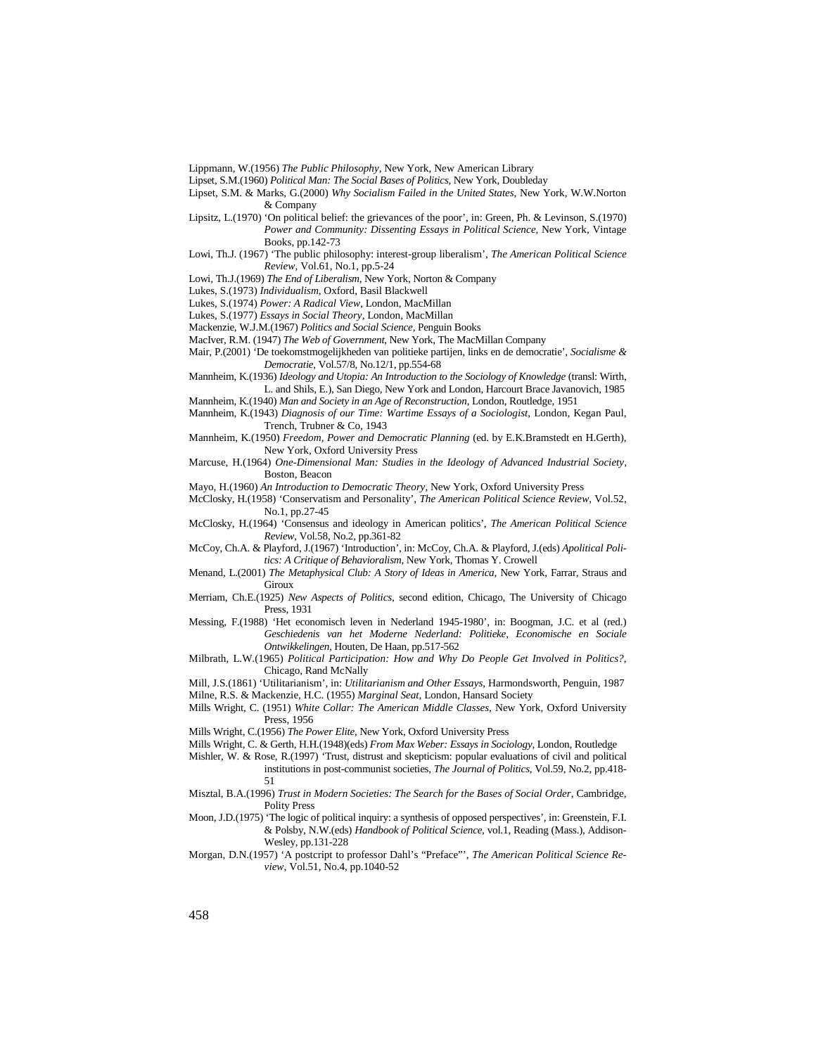Lippmann, W.(1956) *The Public Philosophy*, New York, New American Library

Lipset, S.M.(1960) *Political Man: The Social Bases of Politics*, New York, Doubleday

Lipset, S.M. & Marks, G.(2000) *Why Socialism Failed in the United States*, New York, W.W.Norton & Company

- Lipsitz, L.(1970) 'On political belief: the grievances of the poor', in: Green, Ph. & Levinson, S.(1970) *Power and Community: Dissenting Essays in Political Science*, New York, Vintage Books, pp.142-73
- Lowi, Th.J. (1967) 'The public philosophy: interest-group liberalism', *The American Political Science Review*, Vol.61, No.1, pp.5-24

Lowi, Th.J.(1969) *The End of Liberalism*, New York, Norton & Company

Lukes, S.(1973) *Individualism*, Oxford, Basil Blackwell

Lukes, S.(1974) *Power: A Radical View*, London, MacMillan

Lukes, S.(1977) *Essays in Social Theory*, London, MacMillan

Mackenzie, W.J.M.(1967) *Politics and Social Science*, Penguin Books

MacIver, R.M. (1947) *The Web of Government*, New York, The MacMillan Company

Mair, P.(2001) 'De toekomstmogelijkheden van politieke partijen, links en de democratie', *Socialisme & Democratie*, Vol.57/8, No.12/1, pp.554-68

- Mannheim, K.(1936) *Ideology and Utopia: An Introduction to the Sociology of Knowledge* (transl: Wirth, L. and Shils, E.), San Diego, New York and London, Harcourt Brace Javanovich, 1985 Mannheim, K.(1940) *Man and Society in an Age of Reconstruction*, London, Routledge, 1951
- 
- Mannheim, K.(1943) *Diagnosis of our Time: Wartime Essays of a Sociologist*, London, Kegan Paul, Trench, Trubner & Co, 1943
- Mannheim, K.(1950) *Freedom, Power and Democratic Planning* (ed. by E.K.Bramstedt en H.Gerth), New York, Oxford University Press
- Marcuse, H.(1964) *One-Dimensional Man: Studies in the Ideology of Advanced Industrial Society*, Boston, Beacon

Mayo, H.(1960) *An Introduction to Democratic Theory*, New York, Oxford University Press

McClosky, H.(1958) 'Conservatism and Personality', *The American Political Science Review*, Vol.52, No.1, pp.27-45

McClosky, H.(1964) 'Consensus and ideology in American politics', *The American Political Science Review*, Vol.58, No.2, pp.361-82

- McCoy, Ch.A. & Playford, J.(1967) 'Introduction', in: McCoy, Ch.A. & Playford, J.(eds) *Apolitical Politics: A Critique of Behavioralism*, New York, Thomas Y. Crowell
- Menand, L.(2001) *The Metaphysical Club: A Story of Ideas in America*, New York, Farrar, Straus and Giroux
- Merriam, Ch.E.(1925) *New Aspects of Politics*, second edition, Chicago, The University of Chicago Press, 1931
- Messing, F.(1988) 'Het economisch leven in Nederland 1945-1980', in: Boogman, J.C. et al (red.) *Geschiedenis van het Moderne Nederland: Politieke, Economische en Sociale Ontwikkelingen*, Houten, De Haan, pp.517-562
- Milbrath, L.W.(1965) *Political Participation: How and Why Do People Get Involved in Politics?*, Chicago, Rand McNally
- Mill, J.S.(1861) 'Utilitarianism', in: *Utilitarianism and Other Essays*, Harmondsworth, Penguin, 1987 Milne, R.S. & Mackenzie, H.C. (1955) *Marginal Seat*, London, Hansard Society
- Mills Wright, C. (1951) *White Collar: The American Middle Classes*, New York, Oxford University Press, 1956

Mills Wright, C.(1956) *The Power Elite*, New York, Oxford University Press

- Mills Wright, C. & Gerth, H.H.(1948)(eds) *From Max Weber: Essays in Sociology*, London, Routledge
- Mishler, W. & Rose, R.(1997) 'Trust, distrust and skepticism: popular evaluations of civil and political institutions in post-communist societies, *The Journal of Politics*, Vol.59, No.2, pp.418- 51
- Misztal, B.A.(1996) *Trust in Modern Societies: The Search for the Bases of Social Order*, Cambridge, Polity Press
- Moon, J.D.(1975) 'The logic of political inquiry: a synthesis of opposed perspectives', in: Greenstein, F.I. & Polsby, N.W.(eds) *Handbook of Political Science*, vol.1, Reading (Mass.), Addison-Wesley, pp.131-228
- Morgan, D.N.(1957) 'A postcript to professor Dahl's "Preface"', *The American Political Science Review*, Vol.51, No.4, pp.1040-52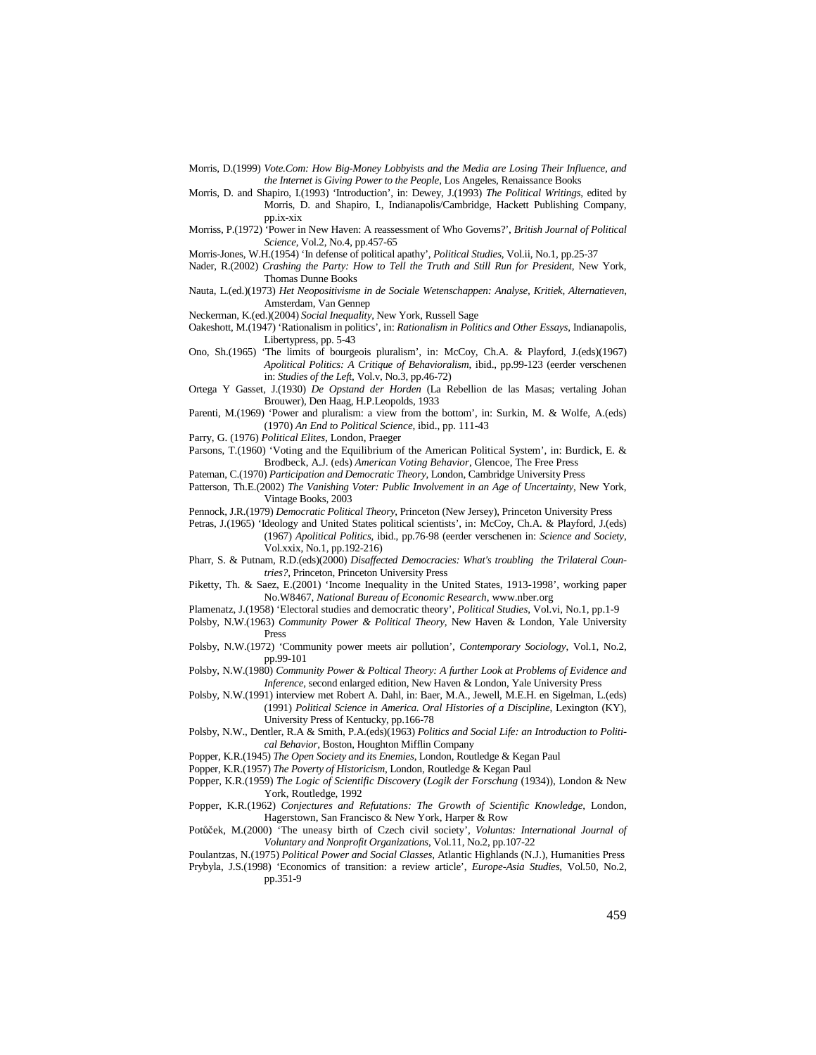- Morris, D.(1999) *Vote.Com: How Big-Money Lobbyists and the Media are Losing Their Influence, and the Internet is Giving Power to the People*, Los Angeles, Renaissance Books
- Morris, D. and Shapiro, I.(1993) 'Introduction', in: Dewey, J.(1993) *The Political Writings*, edited by Morris, D. and Shapiro, I., Indianapolis/Cambridge, Hackett Publishing Company, pp.ix-xix
- Morriss, P.(1972) 'Power in New Haven: A reassessment of Who Governs?', *British Journal of Political Science*, Vol.2, No.4, pp.457-65
- Morris-Jones, W.H.(1954) 'In defense of political apathy', *Political Studies*, Vol.ii, No.1, pp.25-37
- Nader, R.(2002) *Crashing the Party: How to Tell the Truth and Still Run for President*, New York, Thomas Dunne Books
- Nauta, L.(ed.)(1973) *Het Neopositivisme in de Sociale Wetenschappen: Analyse, Kritiek, Alternatieven*, Amsterdam, Van Gennep
- Neckerman, K.(ed.)(2004) *Social Inequality*, New York, Russell Sage
- Oakeshott, M.(1947) 'Rationalism in politics', in: *Rationalism in Politics and Other Essays*, Indianapolis, Libertypress, pp. 5-43
- Ono, Sh.(1965) 'The limits of bourgeois pluralism', in: McCoy, Ch.A. & Playford, J.(eds)(1967) *Apolitical Politics: A Critique of Behavioralism*, ibid., pp.99-123 (eerder verschenen in: *Studies of the Left*, Vol.v, No.3, pp.46-72)
- Ortega Y Gasset, J.(1930) *De Opstand der Horden* (La Rebellion de las Masas; vertaling Johan Brouwer), Den Haag, H.P.Leopolds, 1933
- Parenti, M.(1969) 'Power and pluralism: a view from the bottom', in: Surkin, M. & Wolfe, A.(eds) (1970) *An End to Political Science*, ibid., pp. 111-43
- Parry, G. (1976) *Political Elites*, London, Praeger
- Parsons, T.(1960) 'Voting and the Equilibrium of the American Political System', in: Burdick, E. & Brodbeck, A.J. (eds) *American Voting Behavior*, Glencoe, The Free Press
- Pateman, C.(1970) *Participation and Democratic Theory*, London, Cambridge University Press
- Patterson, Th.E.(2002) *The Vanishing Voter: Public Involvement in an Age of Uncertainty*, New York, Vintage Books, 2003
- Pennock, J.R.(1979) *Democratic Political Theory*, Princeton (New Jersey), Princeton University Press
- Petras, J.(1965) 'Ideology and United States political scientists', in: McCoy, Ch.A. & Playford, J.(eds) (1967) *Apolitical Politics*, ibid., pp.76-98 (eerder verschenen in: *Science and Society*, Vol.xxix, No.1, pp.192-216)
- Pharr, S. & Putnam, R.D.(eds)(2000) *Disaffected Democracies: What's troubling the Trilateral Countries?*, Princeton, Princeton University Press
- Piketty, Th. & Saez, E.(2001) 'Income Inequality in the United States, 1913-1998', working paper No.W8467, *National Bureau of Economic Research*, www.nber.org
- Plamenatz, J.(1958) 'Electoral studies and democratic theory', *Political Studies*, Vol.vi, No.1, pp.1-9
- Polsby, N.W.(1963) *Community Power & Political Theory*, New Haven & London, Yale University Press
- Polsby, N.W.(1972) 'Community power meets air pollution', *Contemporary Sociology*, Vol.1, No.2, pp.99-101
- Polsby, N.W.(1980) *Community Power & Poltical Theory: A further Look at Problems of Evidence and Inference*, second enlarged edition, New Haven & London, Yale University Press
- Polsby, N.W.(1991) interview met Robert A. Dahl, in: Baer, M.A., Jewell, M.E.H. en Sigelman, L.(eds) (1991) *Political Science in America. Oral Histories of a Discipline*, Lexington (KY), University Press of Kentucky, pp.166-78
- Polsby, N.W., Dentler, R.A & Smith, P.A.(eds)(1963) *Politics and Social Life: an Introduction to Political Behavior*, Boston, Houghton Mifflin Company
- Popper, K.R.(1945) *The Open Society and its Enemies*, London, Routledge & Kegan Paul
- Popper, K.R.(1957) *The Poverty of Historicism*, London, Routledge & Kegan Paul
- Popper, K.R.(1959) *The Logic of Scientific Discovery* (*Logik der Forschung* (1934)), London & New York, Routledge, 1992
- Popper, K.R.(1962) *Conjectures and Refutations: The Growth of Scientific Knowledge*, London, Hagerstown, San Francisco & New York, Harper & Row
- Potůček, M.(2000) 'The uneasy birth of Czech civil society', Voluntas: International Journal of *Voluntary and Nonprofit Organizations*, Vol.11, No.2, pp.107-22

Poulantzas, N.(1975) *Political Power and Social Classes*, Atlantic Highlands (N.J.), Humanities Press Prybyla, J.S.(1998) 'Economics of transition: a review article', *Europe-Asia Studies*, Vol.50, No.2, pp.351-9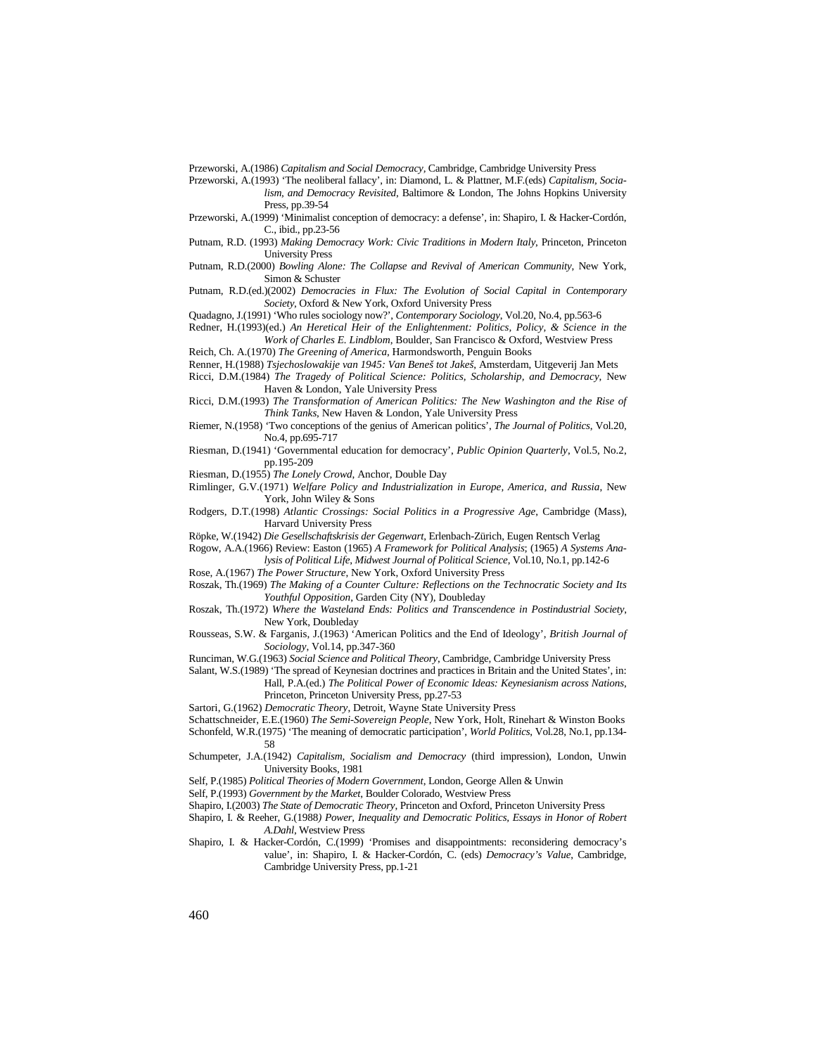Przeworski, A.(1986) *Capitalism and Social Democracy,* Cambridge, Cambridge University Press

Przeworski, A.(1993) 'The neoliberal fallacy', in: Diamond, L. & Plattner, M.F.(eds) *Capitalism, Socialism, and Democracy Revisited*, Baltimore & London, The Johns Hopkins University

Press, pp.39-54

Przeworski, A.(1999) 'Minimalist conception of democracy: a defense', in: Shapiro, I. & Hacker-Cordón, C., ibid., pp.23-56

- Putnam, R.D. (1993) *Making Democracy Work: Civic Traditions in Modern Italy*, Princeton, Princeton University Press
- Putnam, R.D.(2000) *Bowling Alone: The Collapse and Revival of American Community*, New York, Simon & Schuster

Putnam, R.D.(ed.)(2002) *Democracies in Flux: The Evolution of Social Capital in Contemporary Society*, Oxford & New York, Oxford University Press

Quadagno, J.(1991) 'Who rules sociology now?', *Contemporary Sociology*, Vol.20, No.4, pp.563-6

Redner, H.(1993)(ed.) *An Heretical Heir of the Enlightenment: Politics, Policy, & Science in the Work of Charles E. Lindblom*, Boulder, San Francisco & Oxford, Westview Press

Reich, Ch. A.(1970) *The Greening of America*, Harmondsworth, Penguin Books

Renner, H.(1988) *Tsjechoslowakije van 1945: Van Beneš tot Jakeš*, Amsterdam, Uitgeverij Jan Mets

Ricci, D.M.(1984) *The Tragedy of Political Science: Politics, Scholarship, and Democracy*, New Haven & London, Yale University Press

Ricci, D.M.(1993) *The Transformation of American Politics: The New Washington and the Rise of Think Tanks*, New Haven & London, Yale University Press

Riemer, N.(1958) 'Two conceptions of the genius of American politics', *The Journal of Politics*, Vol.20, No.4, pp.695-717

Riesman, D.(1941) 'Governmental education for democracy', *Public Opinion Quarterly*, Vol.5, No.2, pp.195-209

Riesman, D.(1955) *The Lonely Crowd*, Anchor, Double Day

Rimlinger, G.V.(1971) *Welfare Policy and Industrialization in Europe, America, and Russia*, New York, John Wiley & Sons

Rodgers, D.T.(1998) *Atlantic Crossings: Social Politics in a Progressive Age*, Cambridge (Mass), Harvard University Press

Röpke, W.(1942) *Die Gesellschaftskrisis der Gegenwart*, Erlenbach-Zürich, Eugen Rentsch Verlag

Rogow, A.A.(1966) Review: Easton (1965) *A Framework for Political Analysis*; (1965) *A Systems Analysis of Political Life*, *Midwest Journal of Political Science*, Vol.10, No.1, pp.142-6

Rose, A.(1967) *The Power Structure*, New York, Oxford University Press

- Roszak, Th.(1969) *The Making of a Counter Culture: Reflections on the Technocratic Society and Its Youthful Opposition*, Garden City (NY), Doubleday
- Roszak, Th.(1972) *Where the Wasteland Ends: Politics and Transcendence in Postindustrial Society*, New York, Doubleday

Rousseas, S.W. & Farganis, J.(1963) 'American Politics and the End of Ideology', *British Journal of Sociology*, Vol.14, pp.347-360

Runciman, W.G.(1963) *Social Science and Political Theory*, Cambridge, Cambridge University Press

Salant, W.S.(1989) 'The spread of Keynesian doctrines and practices in Britain and the United States', in: Hall, P.A.(ed.) *The Political Power of Economic Ideas: Keynesianism across Nations*, Princeton, Princeton University Press, pp.27-53

Sartori, G.(1962) *Democratic Theory*, Detroit, Wayne State University Press

Schattschneider, E.E.(1960) *The Semi-Sovereign People*, New York, Holt, Rinehart & Winston Books

Schonfeld, W.R.(1975) 'The meaning of democratic participation', *World Politics*, Vol.28, No.1, pp.134- 58

Schumpeter, J.A.(1942) *Capitalism, Socialism and Democracy* (third impression), London, Unwin University Books, 1981

Self, P.(1985) *Political Theories of Modern Government*, London, George Allen & Unwin

Self, P.(1993) *Government by the Market*, Boulder Colorado, Westview Press

Shapiro, I.(2003) *The State of Democratic Theory*, Princeton and Oxford, Princeton University Press

Shapiro, I. & Reeher, G.(1988*) Power, Inequality and Democratic Politics, Essays in Honor of Robert A.Dahl*, Westview Press

Shapiro, I. & Hacker-Cordón, C.(1999) 'Promises and disappointments: reconsidering democracy's value', in: Shapiro, I. & Hacker-Cordón, C. (eds) *Democracy's Value*, Cambridge, Cambridge University Press, pp.1-21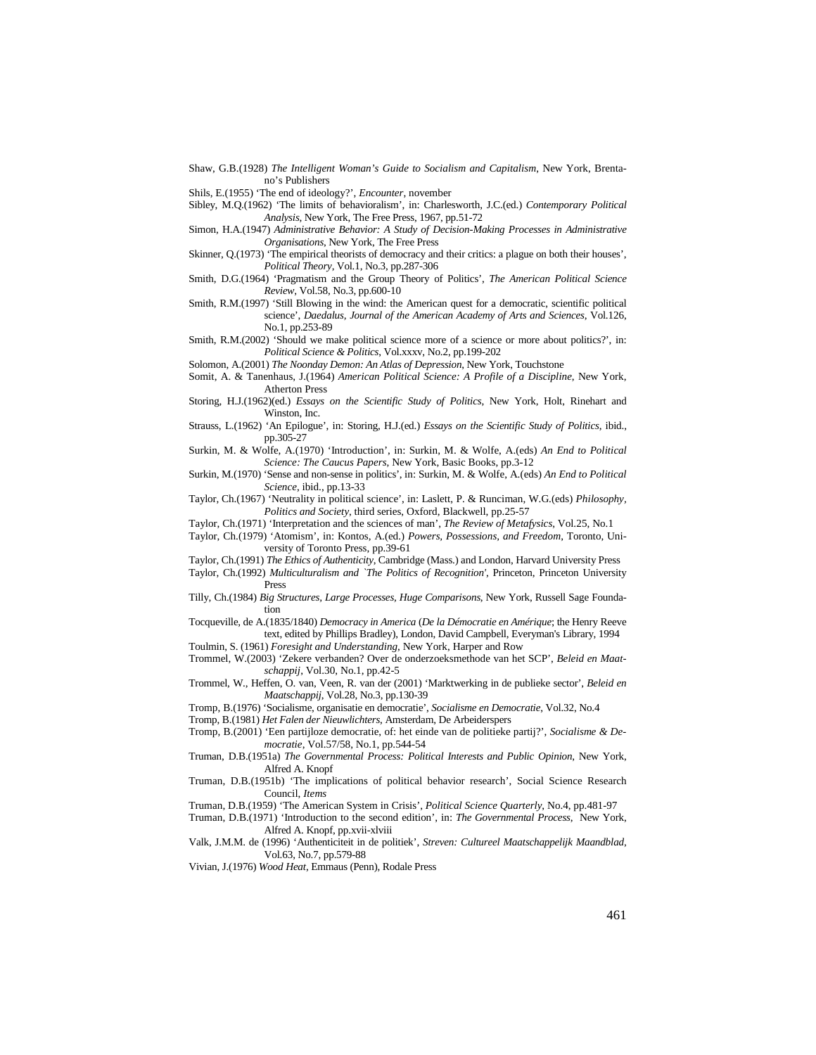Shaw, G.B.(1928) *The Intelligent Woman's Guide to Socialism and Capitalism*, New York, Brentano's Publishers

Shils, E.(1955) 'The end of ideology?', *Encounter*, november

Sibley, M.Q.(1962) 'The limits of behavioralism', in: Charlesworth, J.C.(ed.) *Contemporary Political Analysis*, New York, The Free Press, 1967, pp.51-72

Simon, H.A.(1947) *Administrative Behavior: A Study of Decision-Making Processes in Administrative Organisations*, New York, The Free Press

Skinner, Q.(1973) 'The empirical theorists of democracy and their critics: a plague on both their houses', *Political Theory*, Vol.1, No.3, pp.287-306

Smith, D.G.(1964) 'Pragmatism and the Group Theory of Politics', *The American Political Science Review*, Vol.58, No.3, pp.600-10

Smith, R.M.(1997) 'Still Blowing in the wind: the American quest for a democratic, scientific political science', *Daedalus, Journal of the American Academy of Arts and Sciences*, Vol.126, No.1, pp.253-89

Smith, R.M.(2002) 'Should we make political science more of a science or more about politics?', in: *Political Science & Politics*, Vol.xxxv, No.2, pp.199-202

Solomon, A.(2001) *The Noonday Demon: An Atlas of Depression*, New York, Touchstone

Somit, A. & Tanenhaus, J.(1964) *American Political Science: A Profile of a Discipline*, New York, Atherton Press

- Storing, H.J.(1962)(ed.) *Essays on the Scientific Study of Politics*, New York, Holt, Rinehart and Winston, Inc.
- Strauss, L.(1962) 'An Epilogue', in: Storing, H.J.(ed.) *Essays on the Scientific Study of Politics*, ibid., pp.305-27

Surkin, M. & Wolfe, A.(1970) 'Introduction', in: Surkin, M. & Wolfe, A.(eds) *An End to Political Science: The Caucus Papers*, New York, Basic Books, pp.3-12

Surkin, M.(1970) 'Sense and non-sense in politics', in: Surkin, M. & Wolfe, A.(eds) *An End to Political Science*, ibid., pp.13-33

Taylor, Ch.(1967) 'Neutrality in political science', in: Laslett, P. & Runciman, W.G.(eds) *Philosophy, Politics and Society*, third series, Oxford, Blackwell, pp.25-57

Taylor, Ch.(1971) 'Interpretation and the sciences of man', *The Review of Metafysics*, Vol.25, No.1

Taylor, Ch.(1979) 'Atomism', in: Kontos, A.(ed.) *Powers, Possessions, and Freedom*, Toronto, University of Toronto Press, pp.39-61

Taylor, Ch.(1991) *The Ethics of Authenticity*, Cambridge (Mass.) and London, Harvard University Press

Taylor, Ch.(1992) *Multiculturalism and `The Politics of Recognition'*, Princeton, Princeton University Press

Tilly, Ch.(1984) *Big Structures, Large Processes, Huge Comparisons*, New York, Russell Sage Foundation

Tocqueville, de A.(1835/1840) *Democracy in America* (*De la Démocratie en Amérique*; the Henry Reeve text, edited by Phillips Bradley), London, David Campbell, Everyman's Library, 1994 Toulmin, S. (1961) *Foresight and Understanding*, New York, Harper and Row

Trommel, W.(2003) 'Zekere verbanden? Over de onderzoeksmethode van het SCP', *Beleid en Maatschappij*, Vol.30, No.1, pp.42-5

Trommel, W., Heffen, O. van, Veen, R. van der (2001) 'Marktwerking in de publieke sector', *Beleid en Maatschappij*, Vol.28, No.3, pp.130-39

Tromp, B.(1976) 'Socialisme, organisatie en democratie', *Socialisme en Democratie*, Vol.32, No.4

Tromp, B.(1981) *Het Falen der Nieuwlichters*, Amsterdam, De Arbeiderspers

Tromp, B.(2001) 'Een partijloze democratie, of: het einde van de politieke partij?', *Socialisme & Democratie*, Vol.57/58, No.1, pp.544-54

Truman, D.B.(1951a) *The Governmental Process: Political Interests and Public Opinion*, New York, Alfred A. Knopf

Truman, D.B.(1951b) 'The implications of political behavior research', Social Science Research Council, *Items*

Truman, D.B.(1959) 'The American System in Crisis', *Political Science Quarterly*, No.4, pp.481-97

Truman, D.B.(1971) 'Introduction to the second edition', in: *The Governmental Process*, New York, Alfred A. Knopf, pp.xvii-xlviii

Valk, J.M.M. de (1996) 'Authenticiteit in de politiek', *Streven: Cultureel Maatschappelijk Maandblad*, Vol.63, No.7, pp.579-88

Vivian, J.(1976) *Wood Heat*, Emmaus (Penn), Rodale Press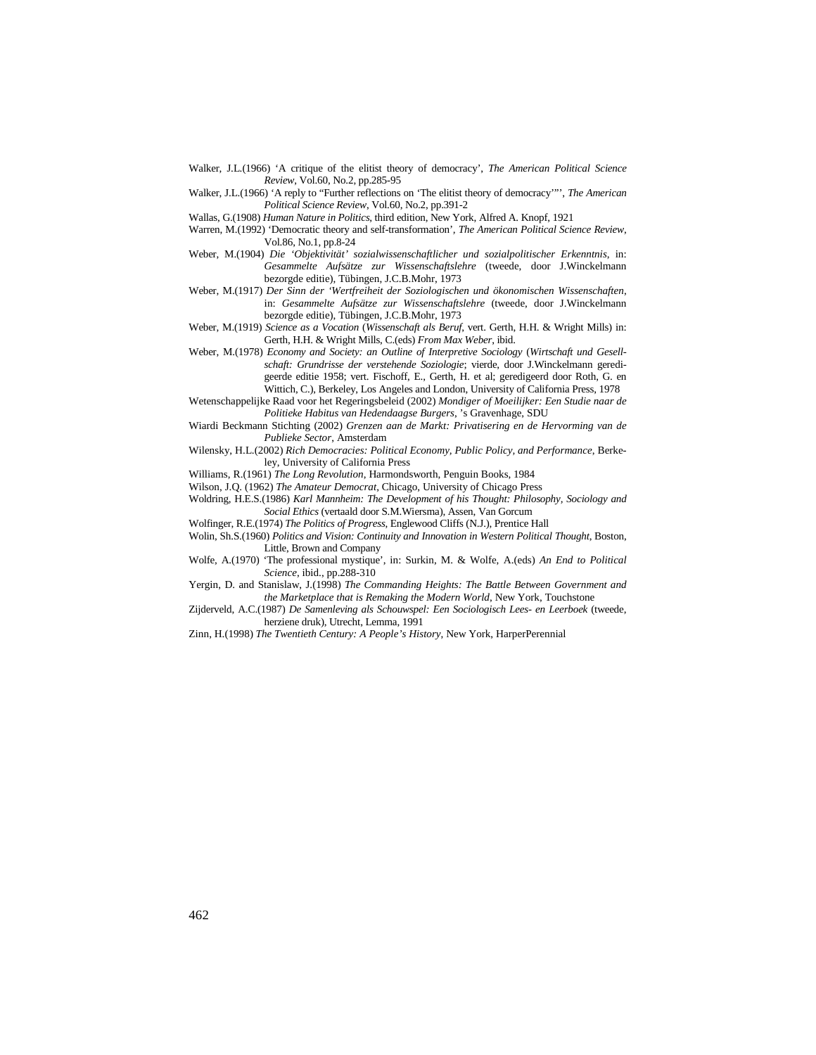- Walker, J.L.(1966) 'A critique of the elitist theory of democracy', *The American Political Science Review*, Vol.60, No.2, pp.285-95
- Walker, J.L.(1966) 'A reply to "Further reflections on 'The elitist theory of democracy'"', *The American Political Science Review*, Vol.60, No.2, pp.391-2
- Wallas, G.(1908) *Human Nature in Politics*, third edition, New York, Alfred A. Knopf, 1921
- Warren, M.(1992) 'Democratic theory and self-transformation'*, The American Political Science Review*, Vol.86, No.1, pp.8-24
- Weber, M.(1904) *Die 'Objektivität' sozialwissenschaftlicher und sozialpolitischer Erkenntnis*, in: *Gesammelte Aufsätze zur Wissenschaftslehre* (tweede, door J.Winckelmann bezorgde editie), Tübingen, J.C.B.Mohr, 1973
- Weber, M.(1917) *Der Sinn der 'Wertfreiheit der Soziologischen und ökonomischen Wissenschaften*, in: *Gesammelte Aufsätze zur Wissenschaftslehre* (tweede, door J.Winckelmann bezorgde editie), Tübingen, J.C.B.Mohr, 1973
- Weber, M.(1919) *Science as a Vocation* (*Wissenschaft als Beruf*, vert. Gerth, H.H. & Wright Mills) in: Gerth, H.H. & Wright Mills, C.(eds) *From Max Weber*, ibid.
- Weber, M.(1978) *Economy and Society: an Outline of Interpretive Sociology* (*Wirtschaft und Gesellschaft: Grundrisse der verstehende Soziologie*; vierde, door J.Winckelmann geredigeerde editie 1958; vert. Fischoff, E., Gerth, H. et al; geredigeerd door Roth, G. en Wittich, C.), Berkeley, Los Angeles and London, University of California Press, 1978
- Wetenschappelijke Raad voor het Regeringsbeleid (2002) *Mondiger of Moeilijker: Een Studie naar de Politieke Habitus van Hedendaagse Burgers*, 's Gravenhage, SDU
- Wiardi Beckmann Stichting (2002) *Grenzen aan de Markt: Privatisering en de Hervorming van de Publieke Sector*, Amsterdam
- Wilensky, H.L.(2002) *Rich Democracies: Political Economy, Public Policy, and Performance*, Berkeley, University of California Press
- Williams, R.(1961) *The Long Revolution*, Harmondsworth, Penguin Books, 1984
- Wilson, J.Q. (1962) *The Amateur Democrat*, Chicago, University of Chicago Press
- Woldring, H.E.S.(1986) *Karl Mannheim: The Development of his Thought: Philosophy, Sociology and Social Ethics* (vertaald door S.M.Wiersma), Assen, Van Gorcum
- Wolfinger, R.E.(1974) *The Politics of Progress*, Englewood Cliffs (N.J.), Prentice Hall
- Wolin, Sh.S.(1960) *Politics and Vision: Continuity and Innovation in Western Political Thought*, Boston, Little, Brown and Company
- Wolfe, A.(1970) 'The professional mystique', in: Surkin, M. & Wolfe, A.(eds) *An End to Political Science*, ibid., pp.288-310
- Yergin, D. and Stanislaw, J.(1998) *The Commanding Heights: The Battle Between Government and the Marketplace that is Remaking the Modern World*, New York, Touchstone
- Zijderveld, A.C.(1987) *De Samenleving als Schouwspel: Een Sociologisch Lees- en Leerboek* (tweede, herziene druk), Utrecht, Lemma, 1991
- Zinn, H.(1998) *The Twentieth Century: A People's History*, New York, HarperPerennial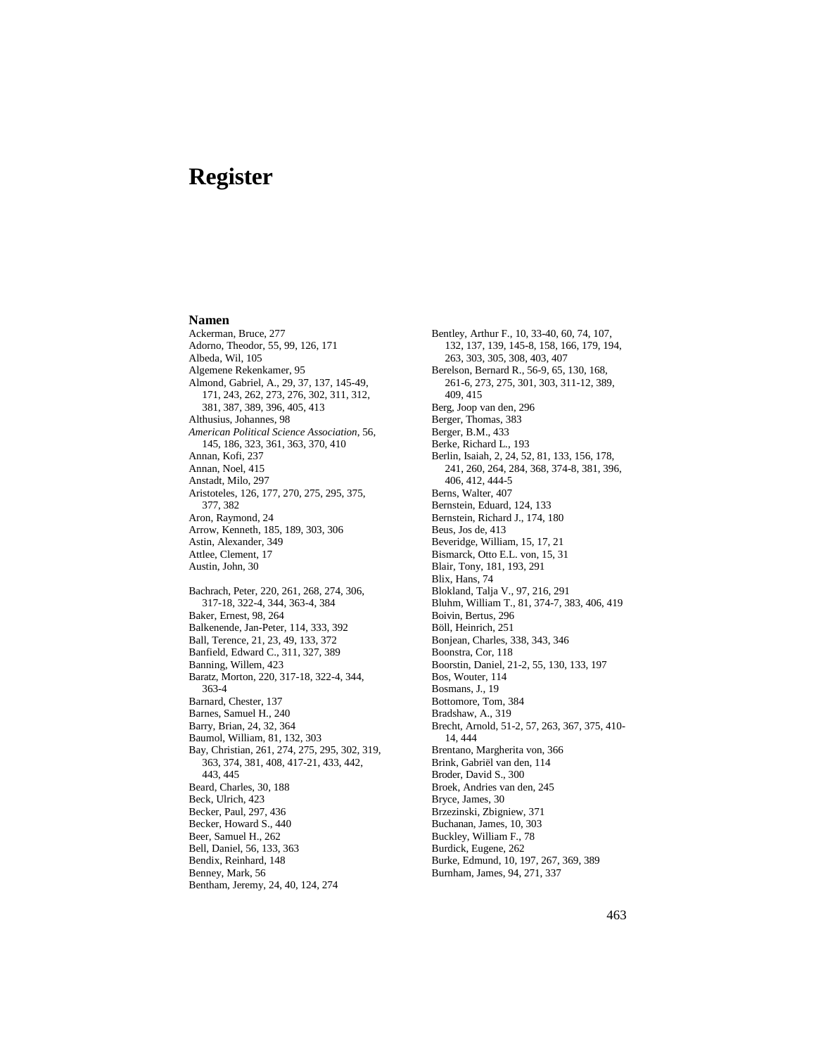## **Register**

## **Namen**

Ackerman, Bruce, 277 Adorno, Theodor, 55, 99, 126, 171 Albeda, Wil, 105 Algemene Rekenkamer, 95 Almond, Gabriel, A., 29, 37, 137, 145-49, 171, 243, 262, 273, 276, 302, 311, 312, 381, 387, 389, 396, 405, 413 Althusius, Johannes, 98 *American Political Science Association*, 56, 145, 186, 323, 361, 363, 370, 410 Annan, Kofi, 237 Annan, Noel, 415 Anstadt, Milo, 297 Aristoteles, 126, 177, 270, 275, 295, 375, 377, 382 Aron, Raymond, 24 Arrow, Kenneth, 185, 189, 303, 306 Astin, Alexander, 349 Attlee, Clement, 17 Austin, John, 30 Bachrach, Peter, 220, 261, 268, 274, 306, 317-18, 322-4, 344, 363-4, 384 Baker, Ernest, 98, 264 Balkenende, Jan-Peter, 114, 333, 392 Ball, Terence, 21, 23, 49, 133, 372 Banfield, Edward C., 311, 327, 389 Banning, Willem, 423 Baratz, Morton, 220, 317-18, 322-4, 344, 363-4 Barnard, Chester, 137 Barnes, Samuel H., 240 Barry, Brian, 24, 32, 364 Baumol, William, 81, 132, 303 Bay, Christian, 261, 274, 275, 295, 302, 319, 363, 374, 381, 408, 417-21, 433, 442, 443, 445 Beard, Charles, 30, 188 Beck, Ulrich, 423 Becker, Paul, 297, 436 Becker, Howard S., 440 Beer, Samuel H., 262 Bell, Daniel, 56, 133, 363 Bendix, Reinhard, 148 Benney, Mark, 56 Bentham, Jeremy, 24, 40, 124, 274

Bentley, Arthur F., 10, 33-40, 60, 74, 107, 132, 137, 139, 145-8, 158, 166, 179, 194, 263, 303, 305, 308, 403, 407 Berelson, Bernard R., 56-9, 65, 130, 168, 261-6, 273, 275, 301, 303, 311-12, 389, 409, 415 Berg, Joop van den, 296 Berger, Thomas, 383 Berger, B.M., 433 Berke, Richard L., 193 Berlin, Isaiah, 2, 24, 52, 81, 133, 156, 178, 241, 260, 264, 284, 368, 374-8, 381, 396, 406, 412, 444-5 Berns, Walter, 407 Bernstein, Eduard, 124, 133 Bernstein, Richard J., 174, 180 Beus, Jos de, 413 Beveridge, William, 15, 17, 21 Bismarck, Otto E.L. von, 15, 31 Blair, Tony, 181, 193, 291 Blix, Hans, 74 Blokland, Talja V., 97, 216, 291 Bluhm, William T., 81, 374-7, 383, 406, 419 Boivin, Bertus, 296 Böll, Heinrich, 251 Bonjean, Charles, 338, 343, 346 Boonstra, Cor, 118 Boorstin, Daniel, 21-2, 55, 130, 133, 197 Bos, Wouter, 114 Bosmans, J., 19 Bottomore, Tom, 384 Bradshaw, A., 319 Brecht, Arnold, 51-2, 57, 263, 367, 375, 410- 14, 444 Brentano, Margherita von, 366 Brink, Gabriël van den, 114 Broder, David S., 300 Broek, Andries van den, 245 Bryce, James, 30 Brzezinski, Zbigniew, 371 Buchanan, James, 10, 303 Buckley, William F., 78 Burdick, Eugene, 262 Burke, Edmund, 10, 197, 267, 369, 389 Burnham, James, 94, 271, 337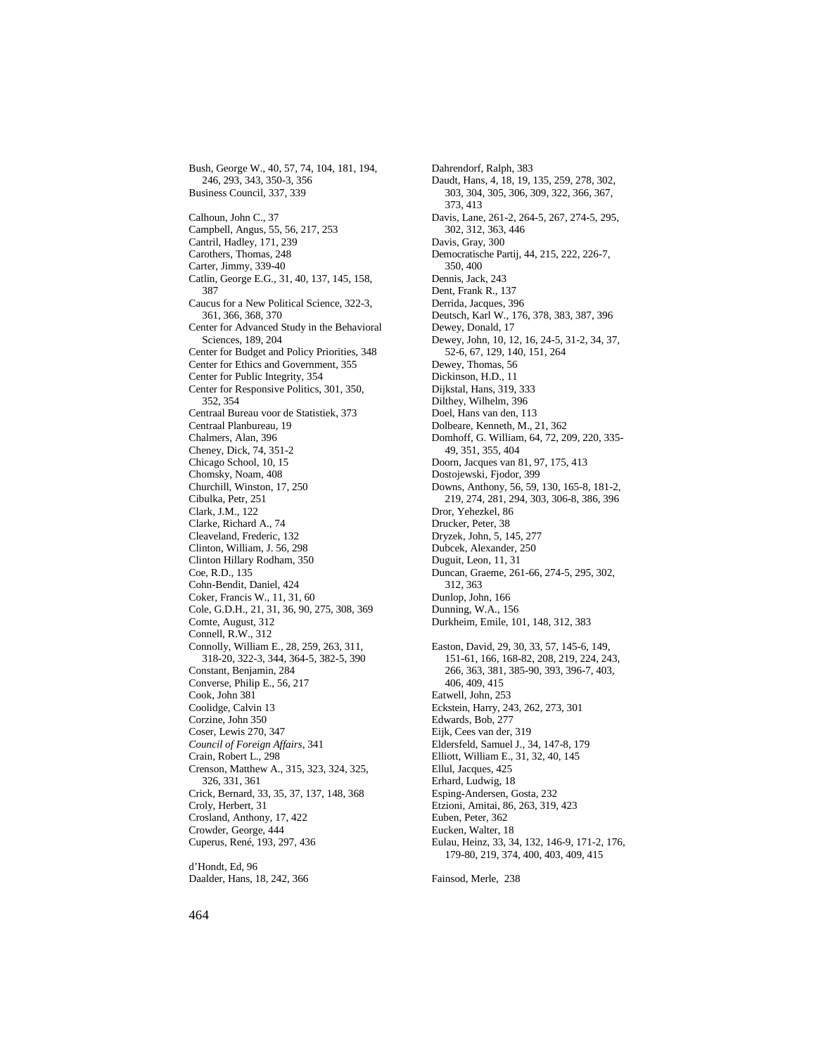Bush, George W., 40, 57, 74, 104, 181, 194, 246, 293, 343, 350-3, 356 Business Council, 337, 339 Calhoun, John C., 37 Campbell, Angus, 55, 56, 217, 253 Cantril, Hadley, 171, 239 Carothers, Thomas, 248 Carter, Jimmy, 339-40 Catlin, George E.G., 31, 40, 137, 145, 158, 387 Caucus for a New Political Science, 322-3, 361, 366, 368, 370 Center for Advanced Study in the Behavioral Sciences, 189, 204 Center for Budget and Policy Priorities, 348 Center for Ethics and Government, 355 Center for Public Integrity, 354 Center for Responsive Politics, 301, 350, 352, 354 Centraal Bureau voor de Statistiek, 373 Centraal Planbureau, 19 Chalmers, Alan, 396 Cheney, Dick, 74, 351-2 Chicago School, 10, 15 Chomsky, Noam, 408 Churchill, Winston, 17, 250 Cibulka, Petr, 251 Clark, J.M., 122 Clarke, Richard A., 74 Cleaveland, Frederic, 132 Clinton, William, J. 56, 298 Clinton Hillary Rodham, 350 Coe, R.D., 135 Cohn-Bendit, Daniel, 424 Coker, Francis W., 11, 31, 60 Cole, G.D.H., 21, 31, 36, 90, 275, 308, 369 Comte, August, 312 Connell, R.W., 312 Connolly, William E., 28, 259, 263, 311, 318-20, 322-3, 344, 364-5, 382-5, 390 Constant, Benjamin, 284 Converse, Philip E., 56, 217 Cook, John 381 Coolidge, Calvin 13 Corzine, John 350 Coser, Lewis 270, 347 *Council of Foreign Affairs*, 341 Crain, Robert L., 298 Crenson, Matthew A., 315, 323, 324, 325, 326, 331, 361 Crick, Bernard, 33, 35, 37, 137, 148, 368 Croly, Herbert, 31 Crosland, Anthony, 17, 422 Crowder, George, 444 Cuperus, René, 193, 297, 436 d'Hondt, Ed, 96

Dahrendorf, Ralph, 383 Daudt, Hans, 4, 18, 19, 135, 259, 278, 302, 303, 304, 305, 306, 309, 322, 366, 367, 373, 413 Davis, Lane, 261-2, 264-5, 267, 274-5, 295, 302, 312, 363, 446 Davis, Gray, 300 Democratische Partij, 44, 215, 222, 226-7, 350, 400 Dennis, Jack, 243 Dent, Frank R., 137 Derrida, Jacques, 396 Deutsch, Karl W., 176, 378, 383, 387, 396 Dewey, Donald, 17 Dewey, John, 10, 12, 16, 24-5, 31-2, 34, 37, 52-6, 67, 129, 140, 151, 264 Dewey, Thomas, 56 Dickinson, H.D., 11 Dijkstal, Hans, 319, 333 Dilthey, Wilhelm, 396 Doel, Hans van den, 113 Dolbeare, Kenneth, M., 21, 362 Domhoff, G. William, 64, 72, 209, 220, 335- 49, 351, 355, 404 Doorn, Jacques van 81, 97, 175, 413 Dostojewski, Fjodor, 399 Downs, Anthony, 56, 59, 130, 165-8, 181-2, 219, 274, 281, 294, 303, 306-8, 386, 396 Dror, Yehezkel, 86 Drucker, Peter, 38 Dryzek, John, 5, 145, 277 Dubcek, Alexander, 250 Duguit, Leon, 11, 31 Duncan, Graeme, 261-66, 274-5, 295, 302, 312, 363 Dunlop, John, 166 Dunning, W.A., 156 Durkheim, Emile, 101, 148, 312, 383 Easton, David, 29, 30, 33, 57, 145-6, 149, 151-61, 166, 168-82, 208, 219, 224, 243, 266, 363, 381, 385-90, 393, 396-7, 403, 406, 409, 415 Eatwell, John, 253 Eckstein, Harry, 243, 262, 273, 301 Edwards, Bob, 277 Eijk, Cees van der, 319 Eldersfeld, Samuel J., 34, 147-8, 179 Elliott, William E., 31, 32, 40, 145 Ellul, Jacques, 425 Erhard, Ludwig, 18 Esping-Andersen, Gosta, 232 Etzioni, Amitai, 86, 263, 319, 423 Euben, Peter, 362 Eucken, Walter, 18 Eulau, Heinz, 33, 34, 132, 146-9, 171-2, 176, 179-80, 219, 374, 400, 403, 409, 415

Fainsod, Merle, 238

Daalder, Hans, 18, 242, 366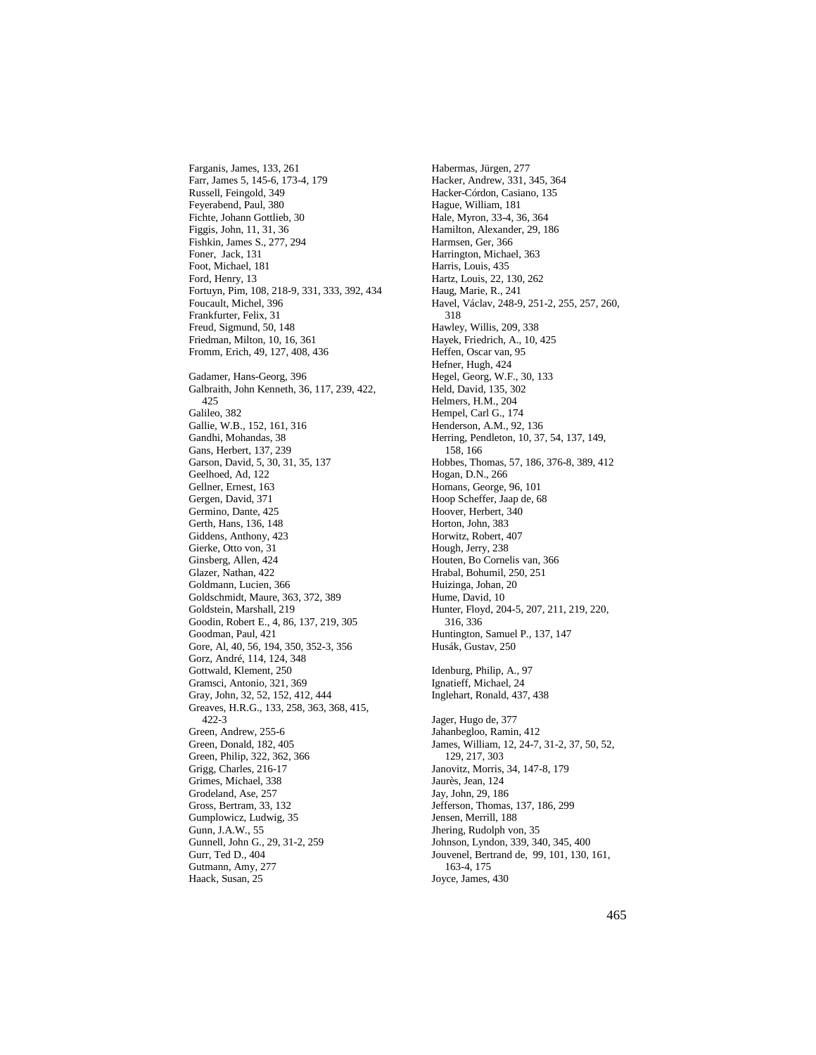Farganis, James, 133, 261 Farr, James 5, 145-6, 173-4, 179 Russell, Feingold, 349 Feyerabend, Paul, 380 Fichte, Johann Gottlieb, 30 Figgis, John, 11, 31, 36 Fishkin, James S., 277, 294 Foner, Jack, 131 Foot, Michael, 181 Ford, Henry, 13 Fortuyn, Pim, 108, 218-9, 331, 333, 392, 434 Foucault, Michel, 396 Frankfurter, Felix, 31 Freud, Sigmund, 50, 148 Friedman, Milton, 10, 16, 361 Fromm, Erich, 49, 127, 408, 436 Gadamer, Hans-Georg, 396 Galbraith, John Kenneth, 36, 117, 239, 422, 425 Galileo, 382 Gallie, W.B., 152, 161, 316 Gandhi, Mohandas, 38 Gans, Herbert, 137, 239 Garson, David, 5, 30, 31, 35, 137 Geelhoed, Ad, 122 Gellner, Ernest, 163 Gergen, David, 371 Germino, Dante, 425 Gerth, Hans, 136, 148 Giddens, Anthony, 423 Gierke, Otto von, 31 Ginsberg, Allen, 424 Glazer, Nathan, 422 Goldmann, Lucien, 366 Goldschmidt, Maure, 363, 372, 389 Goldstein, Marshall, 219 Goodin, Robert E., 4, 86, 137, 219, 305 Goodman, Paul, 421 Gore, Al, 40, 56, 194, 350, 352-3, 356 Gorz, André, 114, 124, 348 Gottwald, Klement, 250 Gramsci, Antonio, 321, 369 Gray, John, 32, 52, 152, 412, 444 Greaves, H.R.G., 133, 258, 363, 368, 415, 422-3 Green, Andrew, 255-6 Green, Donald, 182, 405 Green, Philip, 322, 362, 366 Grigg, Charles, 216-17 Grimes, Michael, 338 Grodeland, Ase, 257 Gross, Bertram, 33, 132 Gumplowicz, Ludwig, 35 Gunn, J.A.W., 55 Gunnell, John G., 29, 31-2, 259 Gurr, Ted D., 404 Gutmann, Amy, 277 Haack, Susan, 25

Habermas, Jürgen, 277 Hacker, Andrew, 331, 345, 364 Hacker-Córdon, Casiano, 135 Hague, William, 181 Hale, Myron, 33-4, 36, 364 Hamilton, Alexander, 29, 186 Harmsen, Ger, 366 Harrington, Michael, 363 Harris, Louis, 435 Hartz, Louis, 22, 130, 262 Haug, Marie, R., 241 Havel, Václav, 248-9, 251-2, 255, 257, 260, 318 Hawley, Willis, 209, 338 Hayek, Friedrich, A., 10, 425 Heffen, Oscar van, 95 Hefner, Hugh, 424 Hegel, Georg, W.F., 30, 133 Held, David, 135, 302 Helmers, H.M., 204 Hempel, Carl G., 174 Henderson, A.M., 92, 136 Herring, Pendleton, 10, 37, 54, 137, 149, 158, 166 Hobbes, Thomas, 57, 186, 376-8, 389, 412 Hogan, D.N., 266 Homans, George, 96, 101 Hoop Scheffer, Jaap de, 68 Hoover, Herbert, 340 Horton, John, 383 Horwitz, Robert, 407 Hough, Jerry, 238 Houten, Bo Cornelis van, 366 Hrabal, Bohumil, 250, 251 Huizinga, Johan, 20 Hume, David, 10 Hunter, Floyd, 204-5, 207, 211, 219, 220, 316, 336 Huntington, Samuel P., 137, 147 Husák, Gustav, 250 Idenburg, Philip, A., 97 Ignatieff, Michael, 24 Inglehart, Ronald, 437, 438 Jager, Hugo de, 377 Jahanbegloo, Ramin, 412 James, William, 12, 24-7, 31-2, 37, 50, 52, 129, 217, 303 Janovitz, Morris, 34, 147-8, 179 Jaurès, Jean, 124 Jay, John, 29, 186 Jefferson, Thomas, 137, 186, 299 Jensen, Merrill, 188 Jhering, Rudolph von, 35 Johnson, Lyndon, 339, 340, 345, 400 Jouvenel, Bertrand de, 99, 101, 130, 161, 163-4, 175 Joyce, James, 430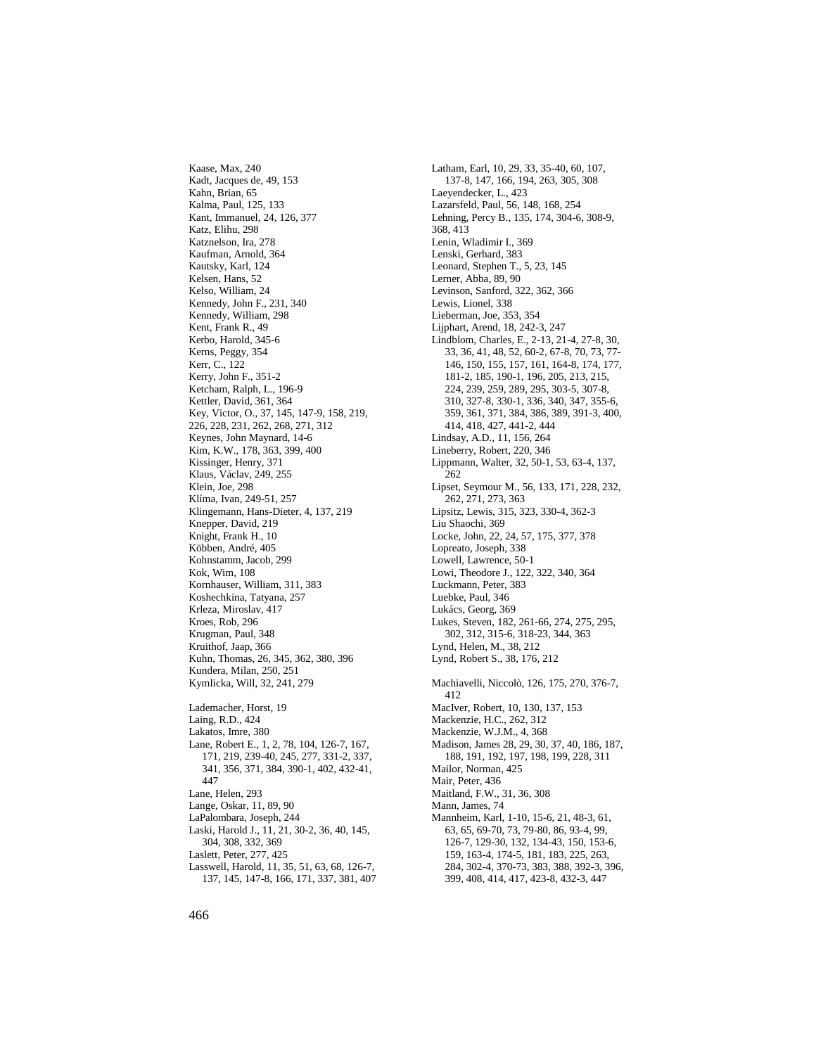Kaase, Max, 240 Kadt, Jacques de, 49, 153 Kahn, Brian, 65 Kalma, Paul, 125, 133 Kant, Immanuel, 24, 126, 377 Katz, Elihu, 298 Katznelson, Ira, 278 Kaufman, Arnold, 364 Kautsky, Karl, 124 Kelsen, Hans, 52 Kelso, William, 24 Kennedy, John F., 231, 340 Kennedy, William, 298 Kent, Frank R., 49 Kerbo, Harold, 345-6 Kerns, Peggy, 354 Kerr, C., 122 Kerry, John F., 351-2 Ketcham, Ralph, L., 196-9 Kettler, David, 361, 364 Key, Victor, O., 37, 145, 147-9, 158, 219, 226, 228, 231, 262, 268, 271, 312 Keynes, John Maynard, 14-6 Kim, K.W., 178, 363, 399, 400 Kissinger, Henry, 371 Klaus, Václav, 249, 255 Klein, Joe, 298 Klíma, Ivan, 249-51, 257 Klingemann, Hans-Dieter, 4, 137, 219 Knepper, David, 219 Knight, Frank H., 10 Köbben, André, 405 Kohnstamm, Jacob, 299 Kok, Wim, 108 Kornhauser, William, 311, 383 Koshechkina, Tatyana, 257 Krleza, Miroslav, 417 Kroes, Rob, 296 Krugman, Paul, 348 Kruithof, Jaap, 366 Kuhn, Thomas, 26, 345, 362, 380, 396 Kundera, Milan, 250, 251 Kymlicka, Will, 32, 241, 279 Lademacher, Horst, 19 Laing, R.D., 424 Lakatos, Imre, 380 Lane, Robert E., 1, 2, 78, 104, 126-7, 167, 171, 219, 239-40, 245, 277, 331-2, 337, 341, 356, 371, 384, 390-1, 402, 432-41, 447 Lane, Helen, 293 Lange, Oskar, 11, 89, 90 LaPalombara, Joseph, 244 Laski, Harold J., 11, 21, 30-2, 36, 40, 145, 304, 308, 332, 369 Laslett, Peter, 277, 425 Lasswell, Harold, 11, 35, 51, 63, 68, 126-7, 137, 145, 147-8, 166, 171, 337, 381, 407

Latham, Earl, 10, 29, 33, 35-40, 60, 107, 137-8, 147, 166, 194, 263, 305, 308 Laeyendecker, L., 423 Lazarsfeld, Paul, 56, 148, 168, 254 Lehning, Percy B., 135, 174, 304-6, 308-9, 368, 413 Lenin, Wladimir I., 369 Lenski, Gerhard, 383 Leonard, Stephen T., 5, 23, 145 Lerner, Abba, 89, 90 Levinson, Sanford, 322, 362, 366 Lewis, Lionel, 338 Lieberman, Joe, 353, 354 Lijphart, Arend, 18, 242-3, 247 Lindblom, Charles, E., 2-13, 21-4, 27-8, 30, 33, 36, 41, 48, 52, 60-2, 67-8, 70, 73, 77- 146, 150, 155, 157, 161, 164-8, 174, 177, 181-2, 185, 190-1, 196, 205, 213, 215, 224, 239, 259, 289, 295, 303-5, 307-8, 310, 327-8, 330-1, 336, 340, 347, 355-6, 359, 361, 371, 384, 386, 389, 391-3, 400, 414, 418, 427, 441-2, 444 Lindsay, A.D., 11, 156, 264 Lineberry, Robert, 220, 346 Lippmann, Walter, 32, 50-1, 53, 63-4, 137, 262 Lipset, Seymour M., 56, 133, 171, 228, 232, 262, 271, 273, 363 Lipsitz, Lewis, 315, 323, 330-4, 362-3 Liu Shaochi, 369 Locke, John, 22, 24, 57, 175, 377, 378 Lopreato, Joseph, 338 Lowell, Lawrence, 50-1 Lowi, Theodore J., 122, 322, 340, 364 Luckmann, Peter, 383 Luebke, Paul, 346 Lukács, Georg, 369 Lukes, Steven, 182, 261-66, 274, 275, 295, 302, 312, 315-6, 318-23, 344, 363 Lynd, Helen, M., 38, 212 Lynd, Robert S., 38, 176, 212 Machiavelli, Niccolò, 126, 175, 270, 376-7, 412 MacIver, Robert, 10, 130, 137, 153 Mackenzie, H.C., 262, 312 Mackenzie, W.J.M., 4, 368 Madison, James 28, 29, 30, 37, 40, 186, 187, 188, 191, 192, 197, 198, 199, 228, 311 Mailor, Norman, 425 Mair, Peter, 436 Maitland, F.W., 31, 36, 308 Mann, James, 74 Mannheim, Karl, 1-10, 15-6, 21, 48-3, 61, 63, 65, 69-70, 73, 79-80, 86, 93-4, 99, 126-7, 129-30, 132, 134-43, 150, 153-6, 159, 163-4, 174-5, 181, 183, 225, 263, 284, 302-4, 370-73, 383, 388, 392-3, 396, 399, 408, 414, 417, 423-8, 432-3, 447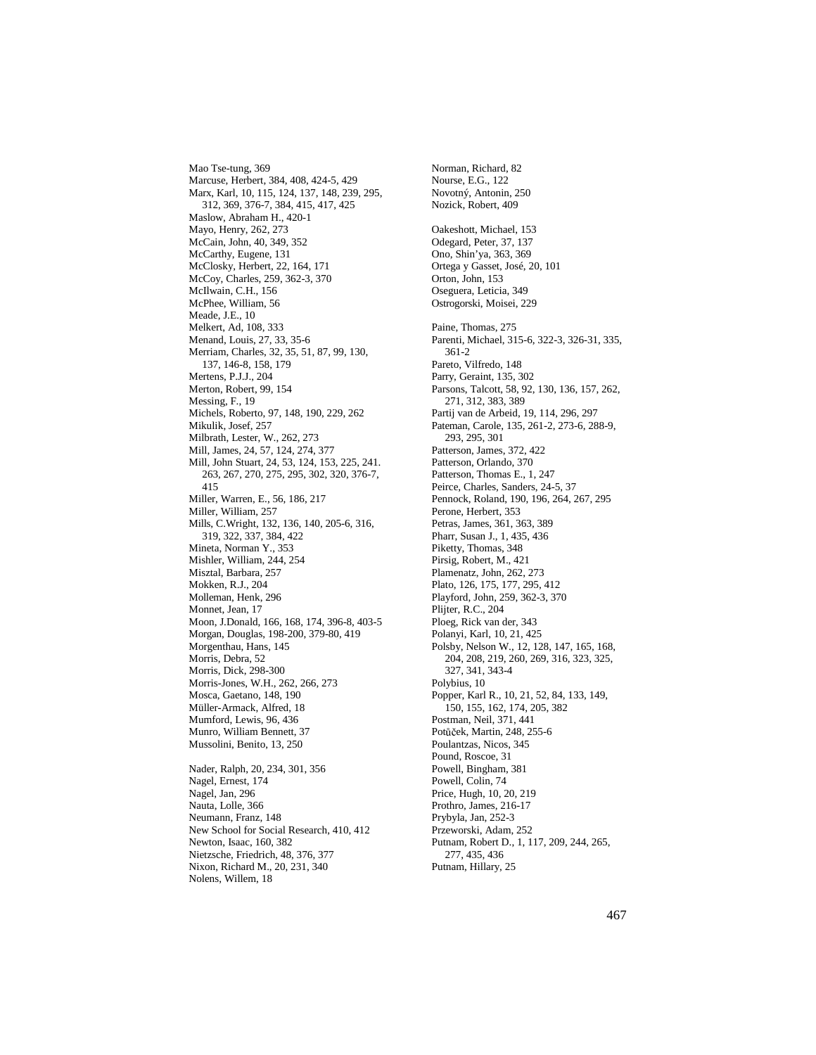Mao Tse-tung, 369 Marcuse, Herbert, 384, 408, 424-5, 429 Marx, Karl, 10, 115, 124, 137, 148, 239, 295, 312, 369, 376-7, 384, 415, 417, 425 Maslow, Abraham H., 420-1 Mayo, Henry, 262, 273 McCain, John, 40, 349, 352 McCarthy, Eugene, 131 McClosky, Herbert, 22, 164, 171 McCoy, Charles, 259, 362-3, 370 McIlwain, C.H., 156 McPhee, William, 56 Meade, J.E., 10 Melkert, Ad, 108, 333 Menand, Louis, 27, 33, 35-6 Merriam, Charles, 32, 35, 51, 87, 99, 130, 137, 146-8, 158, 179 Mertens, P.J.J., 204 Merton, Robert, 99, 154 Messing, F., 19 Michels, Roberto, 97, 148, 190, 229, 262 Mikulik, Josef, 257 Milbrath, Lester, W., 262, 273 Mill, James, 24, 57, 124, 274, 377 Mill, John Stuart, 24, 53, 124, 153, 225, 241. 263, 267, 270, 275, 295, 302, 320, 376-7, 415 Miller, Warren, E., 56, 186, 217 Miller, William, 257 Mills, C.Wright, 132, 136, 140, 205-6, 316, 319, 322, 337, 384, 422 Mineta, Norman Y., 353 Mishler, William, 244, 254 Misztal, Barbara, 257 Mokken, R.J., 204 Molleman, Henk, 296 Monnet, Jean, 17 Moon, J.Donald, 166, 168, 174, 396-8, 403-5 Morgan, Douglas, 198-200, 379-80, 419 Morgenthau, Hans, 145 Morris, Debra, 52 Morris, Dick, 298-300 Morris-Jones, W.H., 262, 266, 273 Mosca, Gaetano, 148, 190 Müller-Armack, Alfred, 18 Mumford, Lewis, 96, 436 Munro, William Bennett, 37 Mussolini, Benito, 13, 250 Nader, Ralph, 20, 234, 301, 356 Nagel, Ernest, 174 Nagel, Jan, 296 Nauta, Lolle, 366 Neumann, Franz, 148 New School for Social Research, 410, 412 Newton, Isaac, 160, 382 Nietzsche, Friedrich, 48, 376, 377 Nixon, Richard M., 20, 231, 340

Nolens, Willem, 18

Norman, Richard, 82 Nourse, E.G., 122 Novotný, Antonin, 250 Nozick, Robert, 409 Oakeshott, Michael, 153 Odegard, Peter, 37, 137 Ono, Shin'ya, 363, 369 Ortega y Gasset, José, 20, 101 Orton, John, 153 Oseguera, Leticia, 349 Ostrogorski, Moisei, 229 Paine, Thomas, 275 Parenti, Michael, 315-6, 322-3, 326-31, 335, 361-2 Pareto, Vilfredo, 148 Parry, Geraint, 135, 302 Parsons, Talcott, 58, 92, 130, 136, 157, 262, 271, 312, 383, 389 Partij van de Arbeid, 19, 114, 296, 297 Pateman, Carole, 135, 261-2, 273-6, 288-9, 293, 295, 301 Patterson, James, 372, 422 Patterson, Orlando, 370 Patterson, Thomas E., 1, 247 Peirce, Charles, Sanders, 24-5, 37 Pennock, Roland, 190, 196, 264, 267, 295 Perone, Herbert, 353 Petras, James, 361, 363, 389 Pharr, Susan J., 1, 435, 436 Piketty, Thomas, 348 Pirsig, Robert, M., 421 Plamenatz, John, 262, 273 Plato, 126, 175, 177, 295, 412 Playford, John, 259, 362-3, 370 Plijter, R.C., 204 Ploeg, Rick van der, 343 Polanyi, Karl, 10, 21, 425 Polsby, Nelson W., 12, 128, 147, 165, 168, 204, 208, 219, 260, 269, 316, 323, 325, 327, 341, 343-4 Polybius, 10 Popper, Karl R., 10, 21, 52, 84, 133, 149, 150, 155, 162, 174, 205, 382 Postman, Neil, 371, 441 Pot<sup>ů</sup> <sup>č</sup> ek, Martin, 248, 255-6 Poulantzas, Nicos, 345 Pound, Roscoe, 31 Powell, Bingham, 381 Powell, Colin, 74 Price, Hugh, 10, 20, 219 Prothro, James, 216-17 Prybyla, Jan, 252-3 Przeworski, Adam, 252 Putnam, Robert D., 1, 117, 209, 244, 265, 277, 435, 436

Putnam, Hillary, 25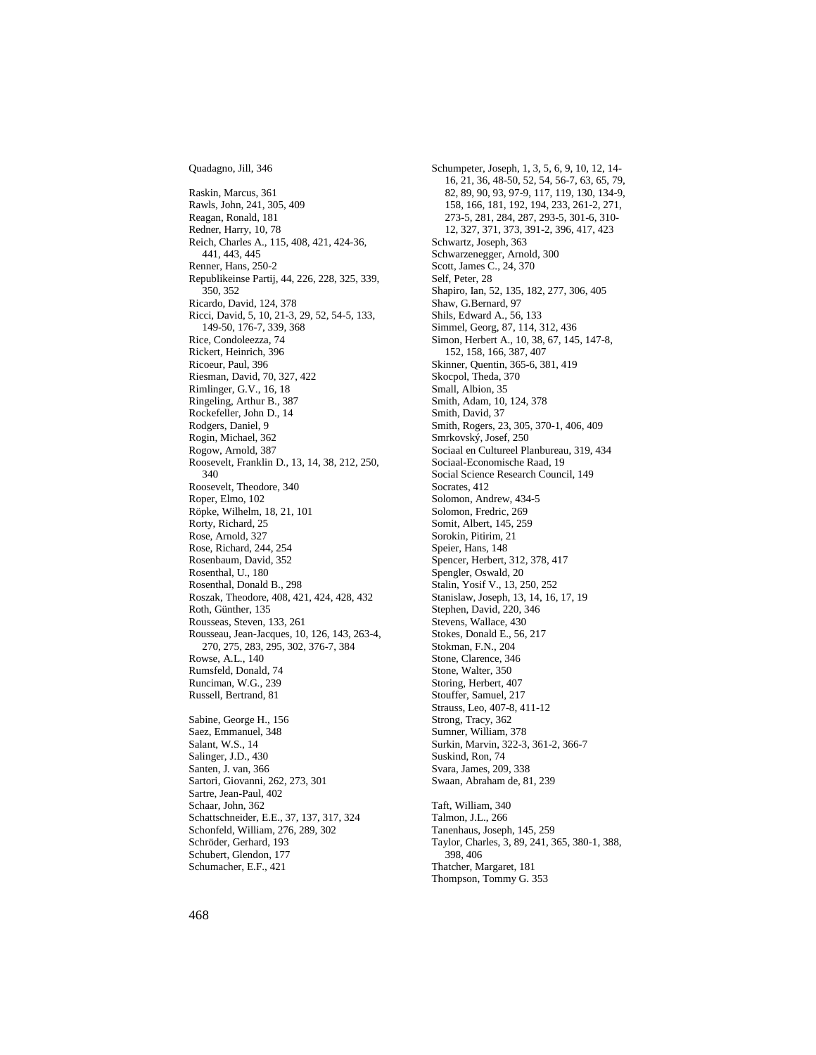Quadagno, Jill, 346

Raskin, Marcus, 361 Rawls, John, 241, 305, 409 Reagan, Ronald, 181 Redner, Harry, 10, 78 Reich, Charles A., 115, 408, 421, 424-36, 441, 443, 445 Renner, Hans, 250-2 Republikeinse Partij, 44, 226, 228, 325, 339, 350, 352 Ricardo, David, 124, 378 Ricci, David, 5, 10, 21-3, 29, 52, 54-5, 133, 149-50, 176-7, 339, 368 Rice, Condoleezza, 74 Rickert, Heinrich, 396 Ricoeur, Paul, 396 Riesman, David, 70, 327, 422 Rimlinger, G.V., 16, 18 Ringeling, Arthur B., 387 Rockefeller, John D., 14 Rodgers, Daniel, 9 Rogin, Michael, 362 Rogow, Arnold, 387 Roosevelt, Franklin D., 13, 14, 38, 212, 250, 340 Roosevelt, Theodore, 340 Roper, Elmo, 102 Röpke, Wilhelm, 18, 21, 101 Rorty, Richard, 25 Rose, Arnold, 327 Rose, Richard, 244, 254 Rosenbaum, David, 352 Rosenthal, U., 180 Rosenthal, Donald B., 298 Roszak, Theodore, 408, 421, 424, 428, 432 Roth, Günther, 135 Rousseas, Steven, 133, 261 Rousseau, Jean-Jacques, 10, 126, 143, 263-4, 270, 275, 283, 295, 302, 376-7, 384 Rowse, A.L., 140 Rumsfeld, Donald, 74 Runciman, W.G., 239 Russell, Bertrand, 81 Sabine, George H., 156 Saez, Emmanuel, 348 Salant, W.S., 14 Salinger, J.D., 430 Santen, J. van, 366 Sartori, Giovanni, 262, 273, 301 Sartre, Jean-Paul, 402 Schaar, John, 362 Schattschneider, E.E., 37, 137, 317, 324 Schonfeld, William, 276, 289, 302 Schröder, Gerhard, 193 Schubert, Glendon, 177 Schumacher, E.F., 421

Schumpeter, Joseph, 1, 3, 5, 6, 9, 10, 12, 14- 16, 21, 36, 48-50, 52, 54, 56-7, 63, 65, 79, 82, 89, 90, 93, 97-9, 117, 119, 130, 134-9, 158, 166, 181, 192, 194, 233, 261-2, 271, 273-5, 281, 284, 287, 293-5, 301-6, 310- 12, 327, 371, 373, 391-2, 396, 417, 423 Schwartz, Joseph, 363 Schwarzenegger, Arnold, 300 Scott, James C., 24, 370 Self, Peter, 28 Shapiro, Ian, 52, 135, 182, 277, 306, 405 Shaw, G.Bernard, 97 Shils, Edward A., 56, 133 Simmel, Georg, 87, 114, 312, 436 Simon, Herbert A., 10, 38, 67, 145, 147-8, 152, 158, 166, 387, 407 Skinner, Quentin, 365-6, 381, 419 Skocpol, Theda, 370 Small, Albion, 35 Smith, Adam, 10, 124, 378 Smith, David, 37 Smith, Rogers, 23, 305, 370-1, 406, 409 Smrkovský, Josef, 250 Sociaal en Cultureel Planbureau, 319, 434 Sociaal-Economische Raad, 19 Social Science Research Council, 149 Socrates, 412 Solomon, Andrew, 434-5 Solomon, Fredric, 269 Somit, Albert, 145, 259 Sorokin, Pitirim, 21 Speier, Hans, 148 Spencer, Herbert, 312, 378, 417 Spengler, Oswald, 20 Stalin, Yosif V., 13, 250, 252 Stanislaw, Joseph, 13, 14, 16, 17, 19 Stephen, David, 220, 346 Stevens, Wallace, 430 Stokes, Donald E., 56, 217 Stokman, F.N., 204 Stone, Clarence, 346 Stone, Walter, 350 Storing, Herbert, 407 Stouffer, Samuel, 217 Strauss, Leo, 407-8, 411-12 Strong, Tracy, 362 Sumner, William, 378 Surkin, Marvin, 322-3, 361-2, 366-7 Suskind, Ron, 74 Svara, James, 209, 338 Swaan, Abraham de, 81, 239 Taft, William, 340 Talmon, J.L., 266 Tanenhaus, Joseph, 145, 259 Taylor, Charles, 3, 89, 241, 365, 380-1, 388, 398, 406 Thatcher, Margaret, 181 Thompson, Tommy G. 353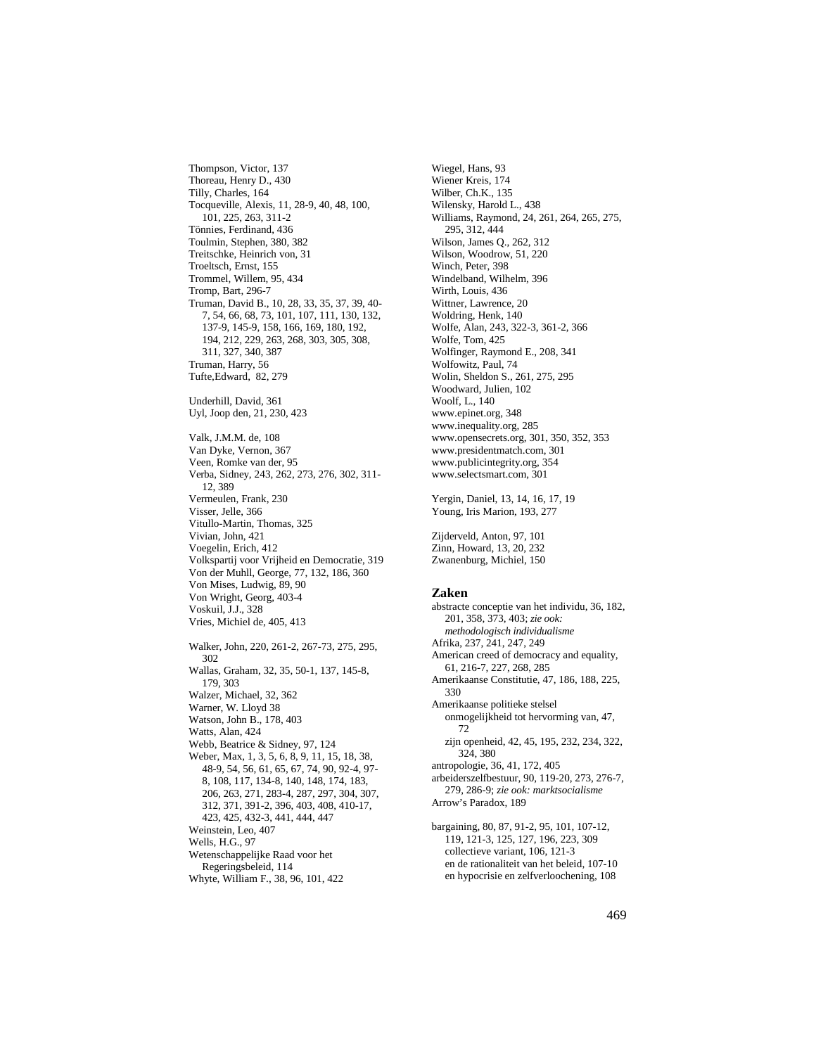Thompson, Victor, 137 Thoreau, Henry D., 430 Tilly, Charles, 164 Tocqueville, Alexis, 11, 28-9, 40, 48, 100, 101, 225, 263, 311-2 Tönnies, Ferdinand, 436 Toulmin, Stephen, 380, 382 Treitschke, Heinrich von, 31 Troeltsch, Ernst, 155 Trommel, Willem, 95, 434 Tromp, Bart, 296-7 Truman, David B., 10, 28, 33, 35, 37, 39, 40- 7, 54, 66, 68, 73, 101, 107, 111, 130, 132, 137-9, 145-9, 158, 166, 169, 180, 192, 194, 212, 229, 263, 268, 303, 305, 308, 311, 327, 340, 387 Truman, Harry, 56 Tufte,Edward, 82, 279 Underhill, David, 361 Uyl, Joop den, 21, 230, 423 Valk, J.M.M. de, 108 Van Dyke, Vernon, 367 Veen, Romke van der, 95 Verba, Sidney, 243, 262, 273, 276, 302, 311- 12, 389 Vermeulen, Frank, 230 Visser, Jelle, 366 Vitullo-Martin, Thomas, 325 Vivian, John, 421 Voegelin, Erich, 412 Volkspartij voor Vrijheid en Democratie, 319 Von der Muhll, George, 77, 132, 186, 360 Von Mises, Ludwig, 89, 90 Von Wright, Georg, 403-4 Voskuil, J.J., 328 Vries, Michiel de, 405, 413 Walker, John, 220, 261-2, 267-73, 275, 295, 302 Wallas, Graham, 32, 35, 50-1, 137, 145-8, 179, 303 Walzer, Michael, 32, 362 Warner, W. Lloyd 38 Watson, John B., 178, 403 Watts, Alan, 424 Webb, Beatrice & Sidney, 97, 124 Weber, Max, 1, 3, 5, 6, 8, 9, 11, 15, 18, 38, 48-9, 54, 56, 61, 65, 67, 74, 90, 92-4, 97- 8, 108, 117, 134-8, 140, 148, 174, 183, 206, 263, 271, 283-4, 287, 297, 304, 307, 312, 371, 391-2, 396, 403, 408, 410-17, 423, 425, 432-3, 441, 444, 447 Weinstein, Leo, 407 Wells, H.G., 97 Wetenschappelijke Raad voor het Regeringsbeleid, 114 Whyte, William F., 38, 96, 101, 422

Wiegel, Hans, 93 Wiener Kreis, 174 Wilber, Ch.K., 135 Wilensky, Harold L., 438 Williams, Raymond, 24, 261, 264, 265, 275, 295, 312, 444 Wilson, James Q., 262, 312 Wilson, Woodrow, 51, 220 Winch, Peter, 398 Windelband, Wilhelm, 396 Wirth, Louis, 436 Wittner, Lawrence, 20 Woldring, Henk, 140 Wolfe, Alan, 243, 322-3, 361-2, 366 Wolfe, Tom, 425 Wolfinger, Raymond E., 208, 341 Wolfowitz, Paul, 74 Wolin, Sheldon S., 261, 275, 295 Woodward, Julien, 102 Woolf, L., 140 www.epinet.org, 348 www.inequality.org, 285 www.opensecrets.org, 301, 350, 352, 353 www.presidentmatch.com, 301 www.publicintegrity.org, 354 www.selectsmart.com, 301 Yergin, Daniel, 13, 14, 16, 17, 19 Young, Iris Marion, 193, 277

Zijderveld, Anton, 97, 101 Zinn, Howard, 13, 20, 232 Zwanenburg, Michiel, 150

## **Zaken**

abstracte conceptie van het individu, 36, 182, 201, 358, 373, 403; *zie ook: methodologisch individualisme* Afrika, 237, 241, 247, 249 American creed of democracy and equality, 61, 216-7, 227, 268, 285 Amerikaanse Constitutie, 47, 186, 188, 225, 330 Amerikaanse politieke stelsel onmogelijkheid tot hervorming van, 47, 72 zijn openheid, 42, 45, 195, 232, 234, 322, 324, 380 antropologie, 36, 41, 172, 405 arbeiderszelfbestuur, 90, 119-20, 273, 276-7, 279, 286-9; *zie ook: marktsocialisme* Arrow's Paradox, 189 bargaining, 80, 87, 91-2, 95, 101, 107-12, 119, 121-3, 125, 127, 196, 223, 309 collectieve variant, 106, 121-3 en de rationaliteit van het beleid, 107-10 en hypocrisie en zelfverloochening, 108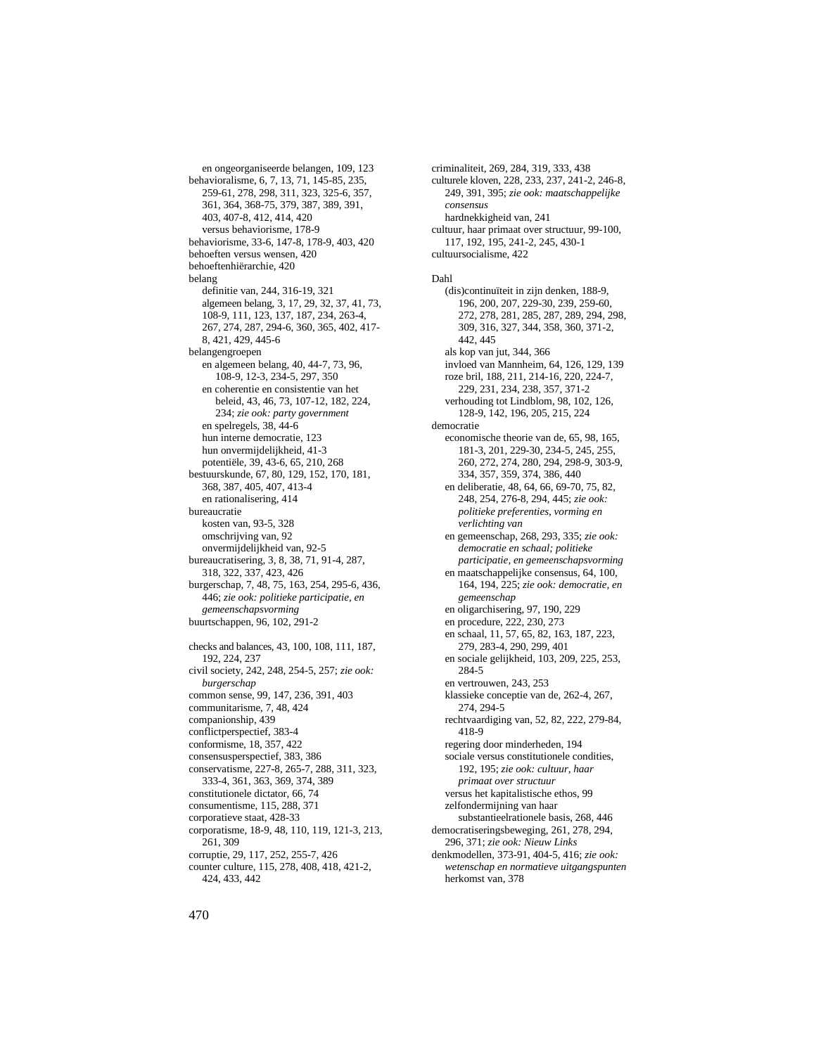en ongeorganiseerde belangen, 109, 123 behavioralisme, 6, 7, 13, 71, 145-85, 235, 259-61, 278, 298, 311, 323, 325-6, 357, 361, 364, 368-75, 379, 387, 389, 391, 403, 407-8, 412, 414, 420 versus behaviorisme, 178-9 behaviorisme, 33-6, 147-8, 178-9, 403, 420 behoeften versus wensen, 420 behoeftenhiërarchie, 420 belang definitie van, 244, 316-19, 321 algemeen belang, 3, 17, 29, 32, 37, 41, 73, 108-9, 111, 123, 137, 187, 234, 263-4, 267, 274, 287, 294-6, 360, 365, 402, 417- 8, 421, 429, 445-6 belangengroepen en algemeen belang, 40, 44-7, 73, 96, 108-9, 12-3, 234-5, 297, 350 en coherentie en consistentie van het beleid, 43, 46, 73, 107-12, 182, 224, 234; *zie ook: party government* en spelregels, 38, 44-6 hun interne democratie, 123 hun onvermijdelijkheid, 41-3 potentiële, 39, 43-6, 65, 210, 268 bestuurskunde, 67, 80, 129, 152, 170, 181, 368, 387, 405, 407, 413-4 en rationalisering, 414 bureaucratie kosten van, 93-5, 328 omschrijving van, 92 onvermijdelijkheid van, 92-5 bureaucratisering, 3, 8, 38, 71, 91-4, 287, 318, 322, 337, 423, 426 burgerschap, 7, 48, 75, 163, 254, 295-6, 436, 446; *zie ook: politieke participatie, en gemeenschapsvorming* buurtschappen, 96, 102, 291-2 checks and balances, 43, 100, 108, 111, 187, 192, 224, 237 civil society, 242, 248, 254-5, 257; *zie ook: burgerschap* common sense, 99, 147, 236, 391, 403 communitarisme, 7, 48, 424 companionship, 439 conflictperspectief, 383-4 conformisme, 18, 357, 422 consensusperspectief, 383, 386 conservatisme, 227-8, 265-7, 288, 311, 323, 333-4, 361, 363, 369, 374, 389 constitutionele dictator, 66, 74 consumentisme, 115, 288, 371 corporatieve staat, 428-33 corporatisme, 18-9, 48, 110, 119, 121-3, 213, 261, 309 corruptie, 29, 117, 252, 255-7, 426 counter culture, 115, 278, 408, 418, 421-2, 424, 433, 442

culturele kloven, 228, 233, 237, 241-2, 246-8, 249, 391, 395; *zie ook: maatschappelijke consensus* hardnekkigheid van, 241 cultuur, haar primaat over structuur, 99-100, 117, 192, 195, 241-2, 245, 430-1 cultuursocialisme, 422 Dahl (dis)continuïteit in zijn denken, 188-9, 196, 200, 207, 229-30, 239, 259-60, 272, 278, 281, 285, 287, 289, 294, 298, 309, 316, 327, 344, 358, 360, 371-2, 442, 445 als kop van jut, 344, 366 invloed van Mannheim, 64, 126, 129, 139 roze bril, 188, 211, 214-16, 220, 224-7, 229, 231, 234, 238, 357, 371-2 verhouding tot Lindblom, 98, 102, 126, 128-9, 142, 196, 205, 215, 224 democratie economische theorie van de, 65, 98, 165, 181-3, 201, 229-30, 234-5, 245, 255, 260, 272, 274, 280, 294, 298-9, 303-9, 334, 357, 359, 374, 386, 440 en deliberatie, 48, 64, 66, 69-70, 75, 82, 248, 254, 276-8, 294, 445; *zie ook: politieke preferenties, vorming en verlichting van* en gemeenschap, 268, 293, 335; *zie ook: democratie en schaal; politieke participatie, en gemeenschapsvorming* en maatschappelijke consensus, 64, 100, 164, 194, 225; *zie ook: democratie, en gemeenschap* en oligarchisering, 97, 190, 229 en procedure, 222, 230, 273 en schaal, 11, 57, 65, 82, 163, 187, 223, 279, 283-4, 290, 299, 401 en sociale gelijkheid, 103, 209, 225, 253, 284-5 en vertrouwen, 243, 253 klassieke conceptie van de, 262-4, 267, 274, 294-5 rechtvaardiging van, 52, 82, 222, 279-84, 418-9 regering door minderheden, 194 sociale versus constitutionele condities, 192, 195; *zie ook: cultuur, haar primaat over structuur* versus het kapitalistische ethos, 99 zelfondermijning van haar substantieelrationele basis, 268, 446 democratiseringsbeweging, 261, 278, 294, 296, 371; *zie ook: Nieuw Links* denkmodellen, 373-91, 404-5, 416; *zie ook: wetenschap en normatieve uitgangspunten* herkomst van, 378

criminaliteit, 269, 284, 319, 333, 438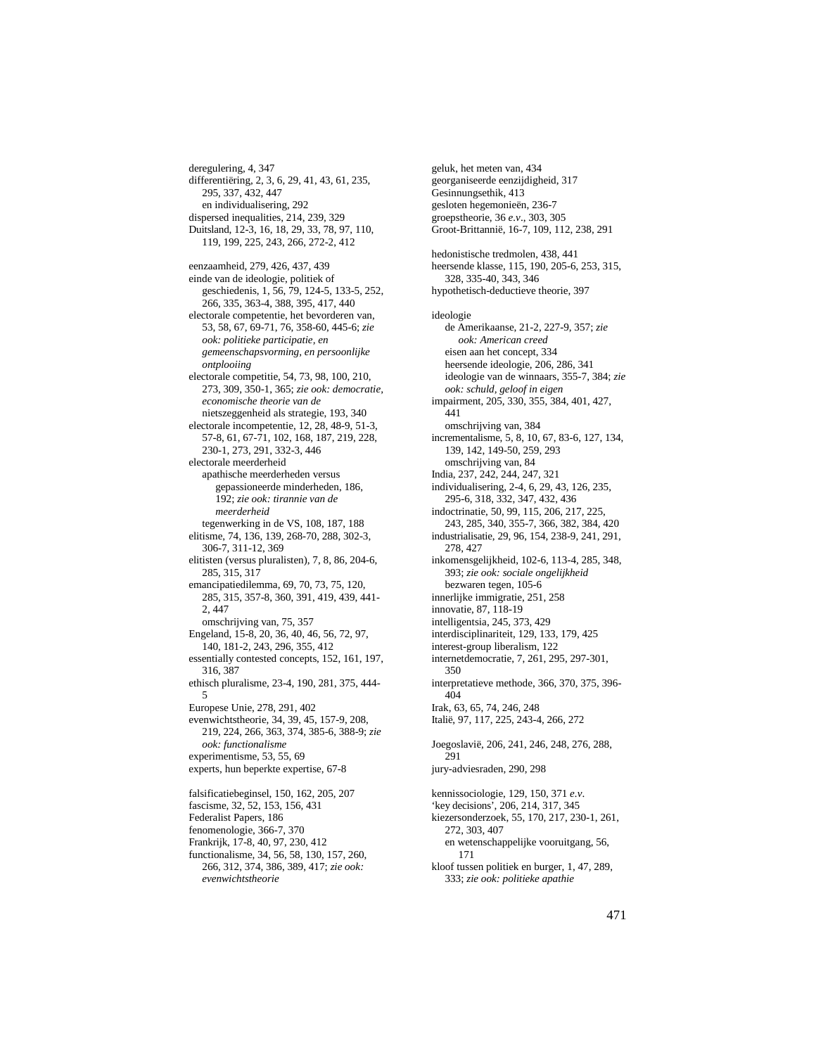deregulering, 4, 347 differentiëring, 2, 3, 6, 29, 41, 43, 61, 235, 295, 337, 432, 447 en individualisering, 292 dispersed inequalities, 214, 239, 329 Duitsland, 12-3, 16, 18, 29, 33, 78, 97, 110, 119, 199, 225, 243, 266, 272-2, 412

eenzaamheid, 279, 426, 437, 439 einde van de ideologie, politiek of geschiedenis, 1, 56, 79, 124-5, 133-5, 252, 266, 335, 363-4, 388, 395, 417, 440

electorale competentie, het bevorderen van, 53, 58, 67, 69-71, 76, 358-60, 445-6; *zie ook: politieke participatie, en gemeenschapsvorming, en persoonlijke ontplooiing*

electorale competitie, 54, 73, 98, 100, 210, 273, 309, 350-1, 365; *zie ook: democratie, economische theorie van de* nietszeggenheid als strategie, 193, 340

electorale incompetentie, 12, 28, 48-9, 51-3, 57-8, 61, 67-71, 102, 168, 187, 219, 228, 230-1, 273, 291, 332-3, 446

electorale meerderheid apathische meerderheden versus gepassioneerde minderheden, 186, 192; *zie ook: tirannie van de meerderheid*

tegenwerking in de VS, 108, 187, 188 elitisme, 74, 136, 139, 268-70, 288, 302-3, 306-7, 311-12, 369

elitisten (versus pluralisten), 7, 8, 86, 204-6, 285, 315, 317

emancipatiedilemma, 69, 70, 73, 75, 120, 285, 315, 357-8, 360, 391, 419, 439, 441- 2, 447

omschrijving van, 75, 357 Engeland, 15-8, 20, 36, 40, 46, 56, 72, 97, 140, 181-2, 243, 296, 355, 412

essentially contested concepts, 152, 161, 197, 316, 387

ethisch pluralisme, 23-4, 190, 281, 375, 444- 5

Europese Unie, 278, 291, 402 evenwichtstheorie, 34, 39, 45, 157-9, 208, 219, 224, 266, 363, 374, 385-6, 388-9; *zie* 

*ook: functionalisme* experimentisme, 53, 55, 69

experts, hun beperkte expertise, 67-8

falsificatiebeginsel, 150, 162, 205, 207 fascisme, 32, 52, 153, 156, 431 Federalist Papers, 186 fenomenologie, 366-7, 370 Frankrijk, 17-8, 40, 97, 230, 412 functionalisme, 34, 56, 58, 130, 157, 260, 266, 312, 374, 386, 389, 417; *zie ook: evenwichtstheorie*

geluk, het meten van, 434 georganiseerde eenzijdigheid, 317 Gesinnungsethik, 413 gesloten hegemonieën, 236-7 groepstheorie, 36 *e.v*., 303, 305 Groot-Brittannië, 16-7, 109, 112, 238, 291 hedonistische tredmolen, 438, 441 heersende klasse, 115, 190, 205-6, 253, 315, 328, 335-40, 343, 346 hypothetisch-deductieve theorie, 397 ideologie de Amerikaanse, 21-2, 227-9, 357; *zie ook: American creed* eisen aan het concept, 334 heersende ideologie, 206, 286, 341 ideologie van de winnaars, 355-7, 384; *zie ook: schuld, geloof in eigen* impairment, 205, 330, 355, 384, 401, 427, 441 omschrijving van, 384 incrementalisme, 5, 8, 10, 67, 83-6, 127, 134, 139, 142, 149-50, 259, 293 omschrijving van, 84 India, 237, 242, 244, 247, 321 individualisering, 2-4, 6, 29, 43, 126, 235, 295-6, 318, 332, 347, 432, 436 indoctrinatie, 50, 99, 115, 206, 217, 225, 243, 285, 340, 355-7, 366, 382, 384, 420 industrialisatie, 29, 96, 154, 238-9, 241, 291, 278, 427 inkomensgelijkheid, 102-6, 113-4, 285, 348, 393; *zie ook: sociale ongelijkheid* bezwaren tegen, 105-6 innerlijke immigratie, 251, 258 innovatie, 87, 118-19 intelligentsia, 245, 373, 429 interdisciplinariteit, 129, 133, 179, 425 interest-group liberalism, 122 internetdemocratie, 7, 261, 295, 297-301, 350 interpretatieve methode, 366, 370, 375, 396- 404 Irak, 63, 65, 74, 246, 248 Italië, 97, 117, 225, 243-4, 266, 272 Joegoslavië, 206, 241, 246, 248, 276, 288, 291 jury-adviesraden, 290, 298 kennissociologie, 129, 150, 371 *e.v*. 'key decisions', 206, 214, 317, 345 kiezersonderzoek, 55, 170, 217, 230-1, 261, 272, 303, 407 en wetenschappelijke vooruitgang, 56, 171

kloof tussen politiek en burger, 1, 47, 289, 333; *zie ook: politieke apathie*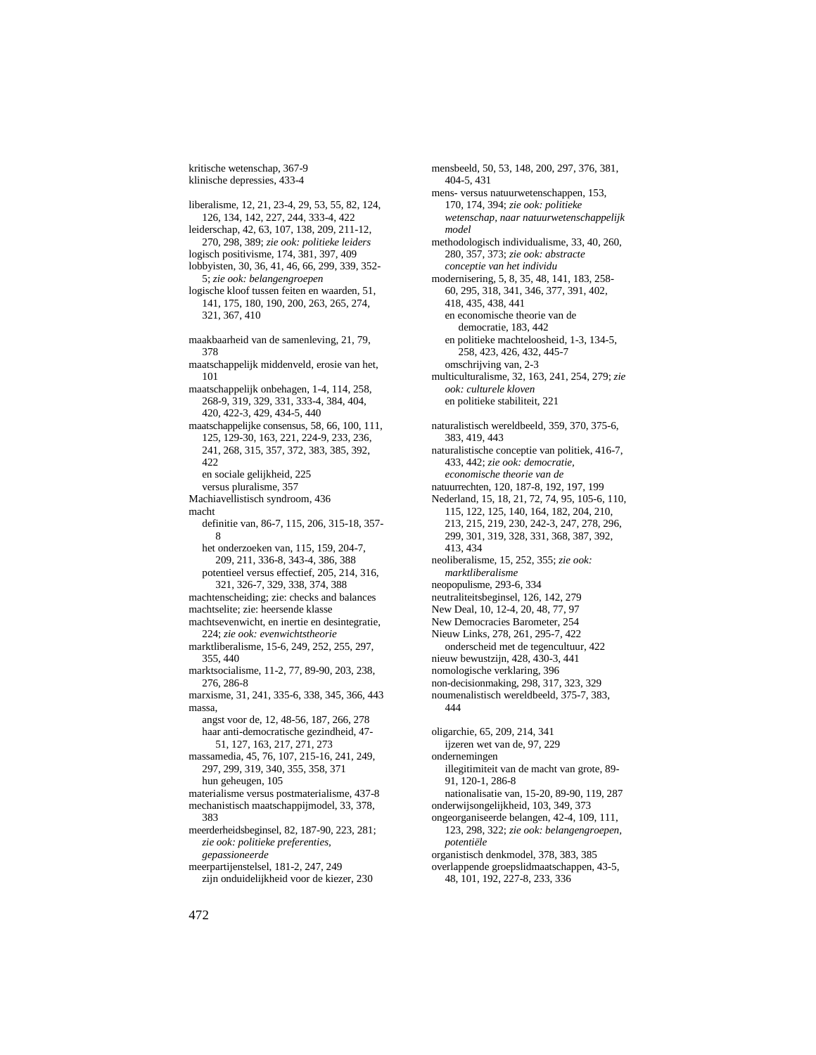kritische wetenschap, 367-9 klinische depressies, 433-4

liberalisme, 12, 21, 23-4, 29, 53, 55, 82, 124, 126, 134, 142, 227, 244, 333-4, 422 leiderschap, 42, 63, 107, 138, 209, 211-12, 270, 298, 389; *zie ook: politieke leiders* logisch positivisme, 174, 381, 397, 409 lobbyisten, 30, 36, 41, 46, 66, 299, 339, 352- 5; *zie ook: belangengroepen* logische kloof tussen feiten en waarden, 51, 141, 175, 180, 190, 200, 263, 265, 274, 321, 367, 410 maakbaarheid van de samenleving, 21, 79, 378 maatschappelijk middenveld, erosie van het, 101 maatschappelijk onbehagen, 1-4, 114, 258, 268-9, 319, 329, 331, 333-4, 384, 404, 420, 422-3, 429, 434-5, 440 maatschappelijke consensus, 58, 66, 100, 111, 125, 129-30, 163, 221, 224-9, 233, 236, 241, 268, 315, 357, 372, 383, 385, 392, 422 en sociale gelijkheid, 225 versus pluralisme, 357 Machiavellistisch syndroom, 436 macht definitie van, 86-7, 115, 206, 315-18, 357- 8 het onderzoeken van, 115, 159, 204-7, 209, 211, 336-8, 343-4, 386, 388 potentieel versus effectief, 205, 214, 316, 321, 326-7, 329, 338, 374, 388 machtenscheiding; zie: checks and balances machtselite; zie: heersende klasse machtsevenwicht, en inertie en desintegratie, 224; *zie ook: evenwichtstheorie* marktliberalisme, 15-6, 249, 252, 255, 297, 355, 440 marktsocialisme, 11-2, 77, 89-90, 203, 238, 276, 286-8 marxisme, 31, 241, 335-6, 338, 345, 366, 443 massa, angst voor de, 12, 48-56, 187, 266, 278 haar anti-democratische gezindheid, 47- 51, 127, 163, 217, 271, 273 massamedia, 45, 76, 107, 215-16, 241, 249, 297, 299, 319, 340, 355, 358, 371 hun geheugen, 105 materialisme versus postmaterialisme, 437-8 mechanistisch maatschappijmodel, 33, 378, 383 meerderheidsbeginsel, 82, 187-90, 223, 281; *zie ook: politieke preferenties, gepassioneerde* meerpartijenstelsel, 181-2, 247, 249

zijn onduidelijkheid voor de kiezer, 230

mensbeeld, 50, 53, 148, 200, 297, 376, 381, 404-5, 431 mens- versus natuurwetenschappen, 153, 170, 174, 394; *zie ook: politieke wetenschap, naar natuurwetenschappelijk model* methodologisch individualisme, 33, 40, 260, 280, 357, 373; *zie ook: abstracte conceptie van het individu* modernisering, 5, 8, 35, 48, 141, 183, 258- 60, 295, 318, 341, 346, 377, 391, 402, 418, 435, 438, 441 en economische theorie van de democratie, 183, 442 en politieke machteloosheid, 1-3, 134-5, 258, 423, 426, 432, 445-7 omschrijving van, 2-3 multiculturalisme, 32, 163, 241, 254, 279; *zie ook: culturele kloven* en politieke stabiliteit, 221 naturalistisch wereldbeeld, 359, 370, 375-6, 383, 419, 443 naturalistische conceptie van politiek, 416-7, 433, 442; *zie ook: democratie, economische theorie van de* natuurrechten, 120, 187-8, 192, 197, 199 Nederland, 15, 18, 21, 72, 74, 95, 105-6, 110, 115, 122, 125, 140, 164, 182, 204, 210, 213, 215, 219, 230, 242-3, 247, 278, 296, 299, 301, 319, 328, 331, 368, 387, 392, 413, 434 neoliberalisme, 15, 252, 355; *zie ook: marktliberalisme* neopopulisme, 293-6, 334 neutraliteitsbeginsel, 126, 142, 279 New Deal, 10, 12-4, 20, 48, 77, 97 New Democracies Barometer, 254 Nieuw Links, 278, 261, 295-7, 422 onderscheid met de tegencultuur, 422 nieuw bewustzijn, 428, 430-3, 441 nomologische verklaring, 396 non-decisionmaking, 298, 317, 323, 329 noumenalistisch wereldbeeld, 375-7, 383, 444 oligarchie, 65, 209, 214, 341 ijzeren wet van de, 97, 229 ondernemingen illegitimiteit van de macht van grote, 89- 91, 120-1, 286-8 nationalisatie van, 15-20, 89-90, 119, 287 onderwijsongelijkheid, 103, 349, 373 ongeorganiseerde belangen, 42-4, 109, 111, 123, 298, 322; *zie ook: belangengroepen, potentiële* organistisch denkmodel, 378, 383, 385 overlappende groepslidmaatschappen, 43-5, 48, 101, 192, 227-8, 233, 336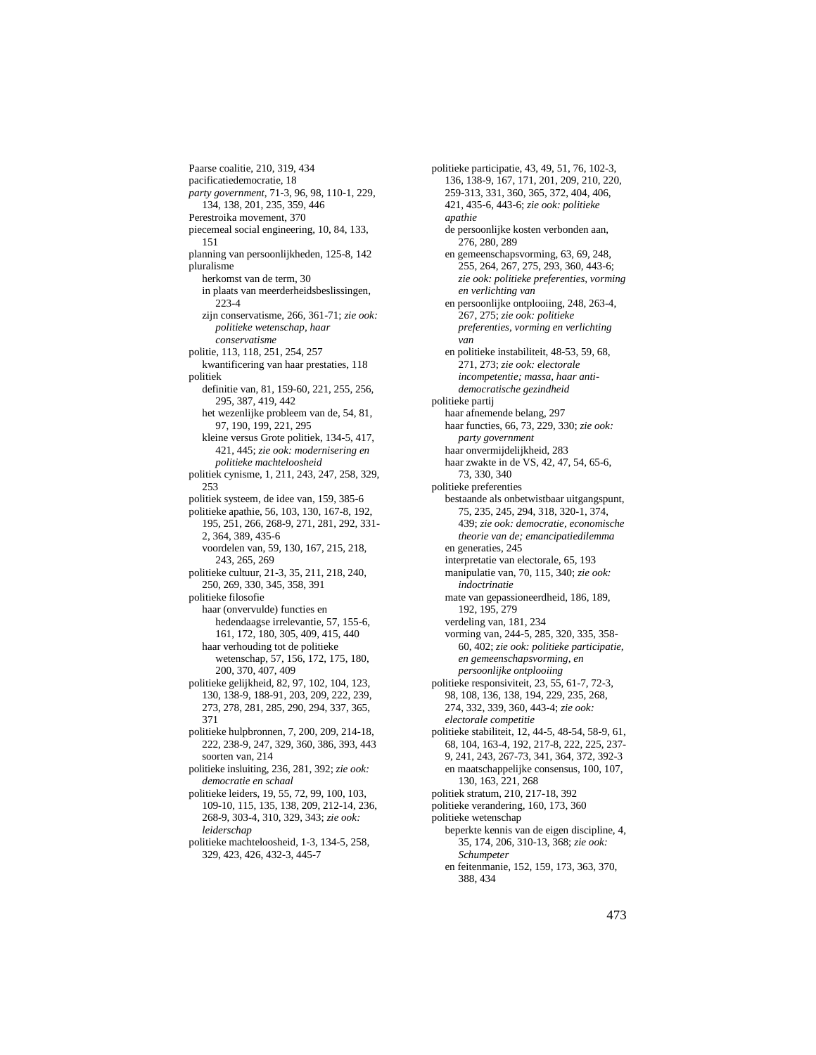Paarse coalitie, 210, 319, 434 pacificatiedemocratie, 18 *party government*, 71-3, 96, 98, 110-1, 229, 134, 138, 201, 235, 359, 446 Perestroika movement, 370 piecemeal social engineering, 10, 84, 133, 151 planning van persoonlijkheden, 125-8, 142 pluralisme herkomst van de term, 30 in plaats van meerderheidsbeslissingen, 223-4 zijn conservatisme, 266, 361-71; *zie ook: politieke wetenschap, haar conservatisme* politie, 113, 118, 251, 254, 257 kwantificering van haar prestaties, 118 politiek definitie van, 81, 159-60, 221, 255, 256, 295, 387, 419, 442 het wezenlijke probleem van de, 54, 81, 97, 190, 199, 221, 295 kleine versus Grote politiek, 134-5, 417, 421, 445; *zie ook: modernisering en politieke machteloosheid* politiek cynisme, 1, 211, 243, 247, 258, 329, 253 politiek systeem, de idee van, 159, 385-6 politieke apathie, 56, 103, 130, 167-8, 192, 195, 251, 266, 268-9, 271, 281, 292, 331- 2, 364, 389, 435-6 voordelen van, 59, 130, 167, 215, 218, 243, 265, 269 politieke cultuur, 21-3, 35, 211, 218, 240, 250, 269, 330, 345, 358, 391 politieke filosofie haar (onvervulde) functies en hedendaagse irrelevantie, 57, 155-6, 161, 172, 180, 305, 409, 415, 440 haar verhouding tot de politieke wetenschap, 57, 156, 172, 175, 180, 200, 370, 407, 409 politieke gelijkheid, 82, 97, 102, 104, 123, 130, 138-9, 188-91, 203, 209, 222, 239, 273, 278, 281, 285, 290, 294, 337, 365, 371 politieke hulpbronnen, 7, 200, 209, 214-18, 222, 238-9, 247, 329, 360, 386, 393, 443 soorten van, 214 politieke insluiting, 236, 281, 392; *zie ook: democratie en schaal* politieke leiders, 19, 55, 72, 99, 100, 103, 109-10, 115, 135, 138, 209, 212-14, 236, 268-9, 303-4, 310, 329, 343; *zie ook: leiderschap*

politieke machteloosheid, 1-3, 134-5, 258, 329, 423, 426, 432-3, 445-7

politieke participatie, 43, 49, 51, 76, 102-3, 136, 138-9, 167, 171, 201, 209, 210, 220, 259-313, 331, 360, 365, 372, 404, 406, 421, 435-6, 443-6; *zie ook: politieke apathie* de persoonlijke kosten verbonden aan, 276, 280, 289 en gemeenschapsvorming, 63, 69, 248, 255, 264, 267, 275, 293, 360, 443-6; *zie ook: politieke preferenties, vorming en verlichting van* en persoonlijke ontplooiing, 248, 263-4, 267, 275; *zie ook: politieke preferenties, vorming en verlichting van* en politieke instabiliteit, 48-53, 59, 68, 271, 273; *zie ook: electorale incompetentie; massa, haar antidemocratische gezindheid* politieke partij haar afnemende belang, 297 haar functies, 66, 73, 229, 330; *zie ook: party government* haar onvermijdelijkheid, 283 haar zwakte in de VS, 42, 47, 54, 65-6, 73, 330, 340 politieke preferenties bestaande als onbetwistbaar uitgangspunt, 75, 235, 245, 294, 318, 320-1, 374, 439; *zie ook: democratie, economische theorie van de; emancipatiedilemma* en generaties, 245 interpretatie van electorale, 65, 193 manipulatie van, 70, 115, 340; *zie ook: indoctrinatie* mate van gepassioneerdheid, 186, 189, 192, 195, 279 verdeling van, 181, 234 vorming van, 244-5, 285, 320, 335, 358- 60, 402; *zie ook: politieke participatie, en gemeenschapsvorming, en persoonlijke ontplooiing* politieke responsiviteit, 23, 55, 61-7, 72-3, 98, 108, 136, 138, 194, 229, 235, 268, 274, 332, 339, 360, 443-4; *zie ook: electorale competitie* politieke stabiliteit, 12, 44-5, 48-54, 58-9, 61, 68, 104, 163-4, 192, 217-8, 222, 225, 237- 9, 241, 243, 267-73, 341, 364, 372, 392-3 en maatschappelijke consensus, 100, 107, 130, 163, 221, 268 politiek stratum, 210, 217-18, 392 politieke verandering, 160, 173, 360 politieke wetenschap beperkte kennis van de eigen discipline, 4, 35, 174, 206, 310-13, 368; *zie ook: Schumpeter* en feitenmanie, 152, 159, 173, 363, 370, 388, 434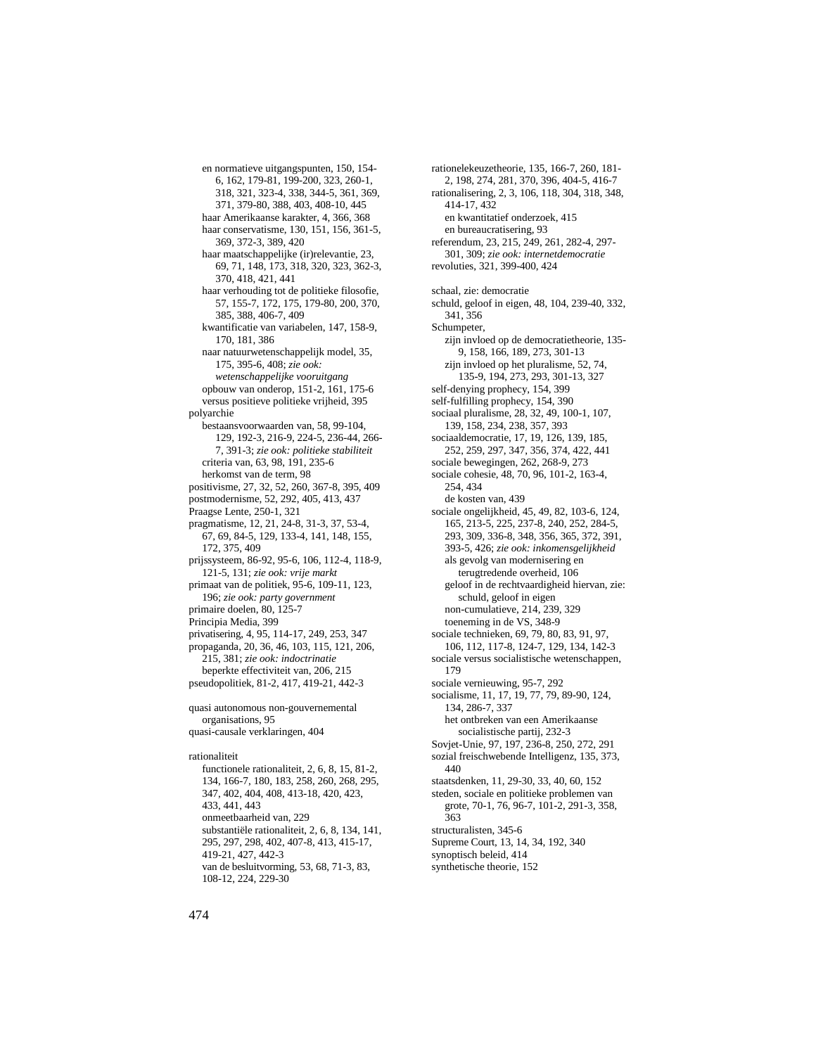en normatieve uitgangspunten, 150, 154- 6, 162, 179-81, 199-200, 323, 260-1, 318, 321, 323-4, 338, 344-5, 361, 369, 371, 379-80, 388, 403, 408-10, 445 haar Amerikaanse karakter, 4, 366, 368 haar conservatisme, 130, 151, 156, 361-5, 369, 372-3, 389, 420 haar maatschappelijke (ir)relevantie, 23, 69, 71, 148, 173, 318, 320, 323, 362-3, 370, 418, 421, 441 haar verhouding tot de politieke filosofie, 57, 155-7, 172, 175, 179-80, 200, 370, 385, 388, 406-7, 409 kwantificatie van variabelen, 147, 158-9, 170, 181, 386 naar natuurwetenschappelijk model, 35, 175, 395-6, 408; *zie ook: wetenschappelijke vooruitgang* opbouw van onderop, 151-2, 161, 175-6 versus positieve politieke vrijheid, 395 polyarchie bestaansvoorwaarden van, 58, 99-104, 129, 192-3, 216-9, 224-5, 236-44, 266- 7, 391-3; *zie ook: politieke stabiliteit* criteria van, 63, 98, 191, 235-6 herkomst van de term, 98 positivisme, 27, 32, 52, 260, 367-8, 395, 409 postmodernisme, 52, 292, 405, 413, 437 Praagse Lente, 250-1, 321 pragmatisme, 12, 21, 24-8, 31-3, 37, 53-4, 67, 69, 84-5, 129, 133-4, 141, 148, 155, 172, 375, 409 prijssysteem, 86-92, 95-6, 106, 112-4, 118-9, 121-5, 131; *zie ook: vrije markt* primaat van de politiek, 95-6, 109-11, 123, 196; *zie ook: party government* primaire doelen, 80, 125-7 Principia Media, 399 privatisering, 4, 95, 114-17, 249, 253, 347 propaganda, 20, 36, 46, 103, 115, 121, 206, 215, 381; *zie ook: indoctrinatie* beperkte effectiviteit van, 206, 215 pseudopolitiek, 81-2, 417, 419-21, 442-3 quasi autonomous non-gouvernemental organisations, 95 quasi-causale verklaringen, 404 rationaliteit functionele rationaliteit, 2, 6, 8, 15, 81-2, 134, 166-7, 180, 183, 258, 260, 268, 295, 347, 402, 404, 408, 413-18, 420, 423, 433, 441, 443 onmeetbaarheid van, 229 substantiële rationaliteit, 2, 6, 8, 134, 141, 295, 297, 298, 402, 407-8, 413, 415-17,

rationelekeuzetheorie, 135, 166-7, 260, 181- 2, 198, 274, 281, 370, 396, 404-5, 416-7 rationalisering, 2, 3, 106, 118, 304, 318, 348, 414-17, 432 en kwantitatief onderzoek, 415 en bureaucratisering, 93 referendum, 23, 215, 249, 261, 282-4, 297- 301, 309; *zie ook: internetdemocratie* revoluties, 321, 399-400, 424 schaal, zie: democratie schuld, geloof in eigen, 48, 104, 239-40, 332, 341, 356 Schumpeter, zijn invloed op de democratietheorie, 135- 9, 158, 166, 189, 273, 301-13 zijn invloed op het pluralisme, 52, 74, 135-9, 194, 273, 293, 301-13, 327 self-denying prophecy, 154, 399 self-fulfilling prophecy, 154, 390 sociaal pluralisme, 28, 32, 49, 100-1, 107, 139, 158, 234, 238, 357, 393 sociaaldemocratie, 17, 19, 126, 139, 185, 252, 259, 297, 347, 356, 374, 422, 441 sociale bewegingen, 262, 268-9, 273 sociale cohesie, 48, 70, 96, 101-2, 163-4, 254, 434 de kosten van, 439 sociale ongelijkheid, 45, 49, 82, 103-6, 124, 165, 213-5, 225, 237-8, 240, 252, 284-5, 293, 309, 336-8, 348, 356, 365, 372, 391, 393-5, 426; *zie ook: inkomensgelijkheid* als gevolg van modernisering en terugtredende overheid, 106 geloof in de rechtvaardigheid hiervan, zie: schuld, geloof in eigen non-cumulatieve, 214, 239, 329 toeneming in de VS, 348-9 sociale technieken, 69, 79, 80, 83, 91, 97, 106, 112, 117-8, 124-7, 129, 134, 142-3 sociale versus socialistische wetenschappen, 179 sociale vernieuwing, 95-7, 292 socialisme, 11, 17, 19, 77, 79, 89-90, 124, 134, 286-7, 337 het ontbreken van een Amerikaanse socialistische partij, 232-3 Sovjet-Unie, 97, 197, 236-8, 250, 272, 291 sozial freischwebende Intelligenz, 135, 373, 440 staatsdenken, 11, 29-30, 33, 40, 60, 152 steden, sociale en politieke problemen van grote, 70-1, 76, 96-7, 101-2, 291-3, 358, 363 structuralisten, 345-6 Supreme Court, 13, 14, 34, 192, 340 synoptisch beleid, 414 synthetische theorie, 152

419-21, 427, 442-3

108-12, 224, 229-30

van de besluitvorming, 53, 68, 71-3, 83,